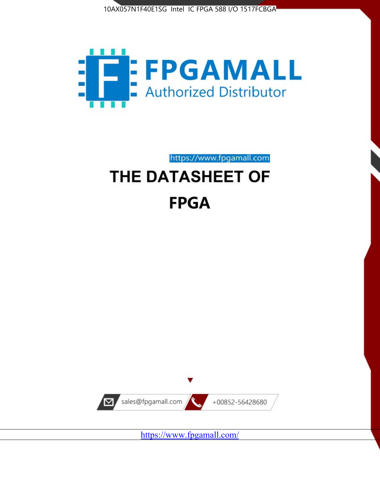



https://www.fpgamall.com

# THE DATASHEET OF **FPGA**



<https://www.fpgamall.com/>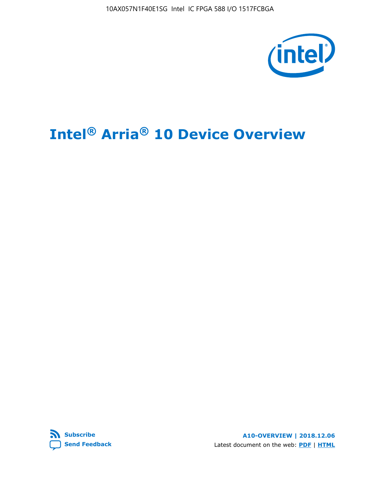10AX057N1F40E1SG Intel IC FPGA 588 I/O 1517FCBGA



# **Intel® Arria® 10 Device Overview**



**A10-OVERVIEW | 2018.12.06** Latest document on the web: **[PDF](https://www.intel.com/content/dam/www/programmable/us/en/pdfs/literature/hb/arria-10/a10_overview.pdf)** | **[HTML](https://www.intel.com/content/www/us/en/programmable/documentation/sam1403480274650.html)**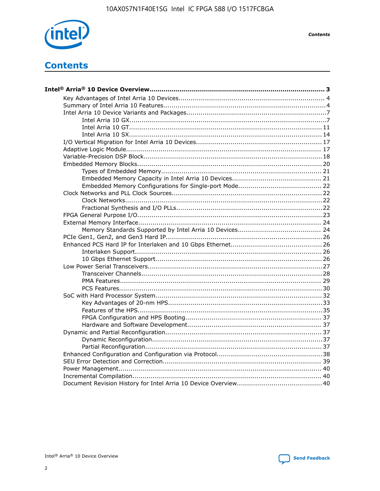

**Contents** 

## **Contents**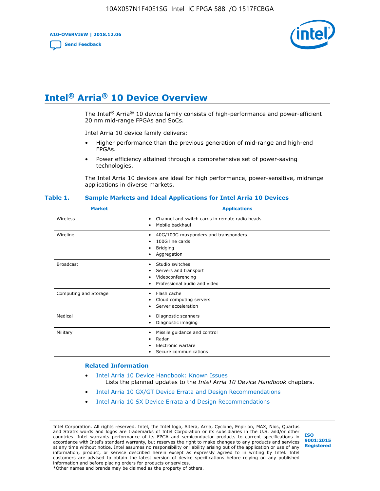**A10-OVERVIEW | 2018.12.06**

**[Send Feedback](mailto:FPGAtechdocfeedback@intel.com?subject=Feedback%20on%20Intel%20Arria%2010%20Device%20Overview%20(A10-OVERVIEW%202018.12.06)&body=We%20appreciate%20your%20feedback.%20In%20your%20comments,%20also%20specify%20the%20page%20number%20or%20paragraph.%20Thank%20you.)**



## **Intel® Arria® 10 Device Overview**

The Intel<sup>®</sup> Arria<sup>®</sup> 10 device family consists of high-performance and power-efficient 20 nm mid-range FPGAs and SoCs.

Intel Arria 10 device family delivers:

- Higher performance than the previous generation of mid-range and high-end FPGAs.
- Power efficiency attained through a comprehensive set of power-saving technologies.

The Intel Arria 10 devices are ideal for high performance, power-sensitive, midrange applications in diverse markets.

| <b>Market</b>         | <b>Applications</b>                                                                                               |
|-----------------------|-------------------------------------------------------------------------------------------------------------------|
| Wireless              | Channel and switch cards in remote radio heads<br>٠<br>Mobile backhaul<br>٠                                       |
| Wireline              | 40G/100G muxponders and transponders<br>٠<br>100G line cards<br>٠<br><b>Bridging</b><br>٠<br>Aggregation<br>٠     |
| <b>Broadcast</b>      | Studio switches<br>٠<br>Servers and transport<br>٠<br>Videoconferencing<br>٠<br>Professional audio and video<br>٠ |
| Computing and Storage | Flash cache<br>٠<br>Cloud computing servers<br>٠<br>Server acceleration<br>٠                                      |
| Medical               | Diagnostic scanners<br>٠<br>Diagnostic imaging<br>٠                                                               |
| Military              | Missile guidance and control<br>٠<br>Radar<br>٠<br>Electronic warfare<br>٠<br>Secure communications<br>٠          |

#### **Table 1. Sample Markets and Ideal Applications for Intel Arria 10 Devices**

#### **Related Information**

- [Intel Arria 10 Device Handbook: Known Issues](http://www.altera.com/support/kdb/solutions/rd07302013_646.html) Lists the planned updates to the *Intel Arria 10 Device Handbook* chapters.
- [Intel Arria 10 GX/GT Device Errata and Design Recommendations](https://www.intel.com/content/www/us/en/programmable/documentation/agz1493851706374.html#yqz1494433888646)
- [Intel Arria 10 SX Device Errata and Design Recommendations](https://www.intel.com/content/www/us/en/programmable/documentation/cru1462832385668.html#cru1462832558642)

Intel Corporation. All rights reserved. Intel, the Intel logo, Altera, Arria, Cyclone, Enpirion, MAX, Nios, Quartus and Stratix words and logos are trademarks of Intel Corporation or its subsidiaries in the U.S. and/or other countries. Intel warrants performance of its FPGA and semiconductor products to current specifications in accordance with Intel's standard warranty, but reserves the right to make changes to any products and services at any time without notice. Intel assumes no responsibility or liability arising out of the application or use of any information, product, or service described herein except as expressly agreed to in writing by Intel. Intel customers are advised to obtain the latest version of device specifications before relying on any published information and before placing orders for products or services. \*Other names and brands may be claimed as the property of others.

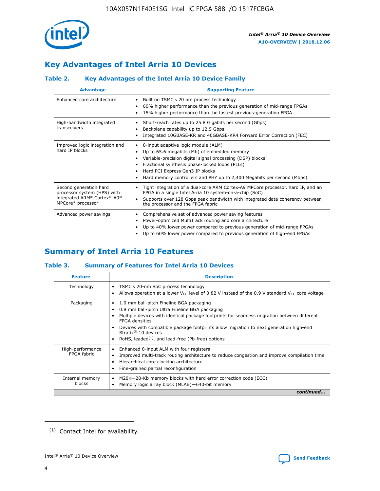

### **Key Advantages of Intel Arria 10 Devices**

### **Table 2. Key Advantages of the Intel Arria 10 Device Family**

| <b>Advantage</b>                                                                                          | <b>Supporting Feature</b>                                                                                                                                                                                                                                                                                                |  |  |  |  |  |
|-----------------------------------------------------------------------------------------------------------|--------------------------------------------------------------------------------------------------------------------------------------------------------------------------------------------------------------------------------------------------------------------------------------------------------------------------|--|--|--|--|--|
| Enhanced core architecture                                                                                | Built on TSMC's 20 nm process technology<br>٠<br>60% higher performance than the previous generation of mid-range FPGAs<br>٠<br>15% higher performance than the fastest previous-generation FPGA<br>٠                                                                                                                    |  |  |  |  |  |
| High-bandwidth integrated<br>transceivers                                                                 | Short-reach rates up to 25.8 Gigabits per second (Gbps)<br>٠<br>Backplane capability up to 12.5 Gbps<br>٠<br>Integrated 10GBASE-KR and 40GBASE-KR4 Forward Error Correction (FEC)<br>٠                                                                                                                                   |  |  |  |  |  |
| Improved logic integration and<br>hard IP blocks                                                          | 8-input adaptive logic module (ALM)<br>٠<br>Up to 65.6 megabits (Mb) of embedded memory<br>٠<br>Variable-precision digital signal processing (DSP) blocks<br>Fractional synthesis phase-locked loops (PLLs)<br>Hard PCI Express Gen3 IP blocks<br>Hard memory controllers and PHY up to 2,400 Megabits per second (Mbps) |  |  |  |  |  |
| Second generation hard<br>processor system (HPS) with<br>integrated ARM* Cortex*-A9*<br>MPCore* processor | Tight integration of a dual-core ARM Cortex-A9 MPCore processor, hard IP, and an<br>٠<br>FPGA in a single Intel Arria 10 system-on-a-chip (SoC)<br>Supports over 128 Gbps peak bandwidth with integrated data coherency between<br>$\bullet$<br>the processor and the FPGA fabric                                        |  |  |  |  |  |
| Advanced power savings                                                                                    | Comprehensive set of advanced power saving features<br>٠<br>Power-optimized MultiTrack routing and core architecture<br>٠<br>Up to 40% lower power compared to previous generation of mid-range FPGAs<br>Up to 60% lower power compared to previous generation of high-end FPGAs                                         |  |  |  |  |  |

### **Summary of Intel Arria 10 Features**

### **Table 3. Summary of Features for Intel Arria 10 Devices**

| <b>Feature</b>                  | <b>Description</b>                                                                                                                                                                                                                                                                                                                                                                                           |
|---------------------------------|--------------------------------------------------------------------------------------------------------------------------------------------------------------------------------------------------------------------------------------------------------------------------------------------------------------------------------------------------------------------------------------------------------------|
| Technology                      | TSMC's 20-nm SoC process technology<br>Allows operation at a lower $V_{\text{CC}}$ level of 0.82 V instead of the 0.9 V standard $V_{\text{CC}}$ core voltage                                                                                                                                                                                                                                                |
| Packaging                       | 1.0 mm ball-pitch Fineline BGA packaging<br>٠<br>0.8 mm ball-pitch Ultra Fineline BGA packaging<br>Multiple devices with identical package footprints for seamless migration between different<br><b>FPGA</b> densities<br>Devices with compatible package footprints allow migration to next generation high-end<br>Stratix <sup>®</sup> 10 devices<br>RoHS, leaded $(1)$ , and lead-free (Pb-free) options |
| High-performance<br>FPGA fabric | Enhanced 8-input ALM with four registers<br>Improved multi-track routing architecture to reduce congestion and improve compilation time<br>Hierarchical core clocking architecture<br>Fine-grained partial reconfiguration                                                                                                                                                                                   |
| Internal memory<br>blocks       | M20K-20-Kb memory blocks with hard error correction code (ECC)<br>Memory logic array block (MLAB)-640-bit memory                                                                                                                                                                                                                                                                                             |
|                                 | continued                                                                                                                                                                                                                                                                                                                                                                                                    |



<sup>(1)</sup> Contact Intel for availability.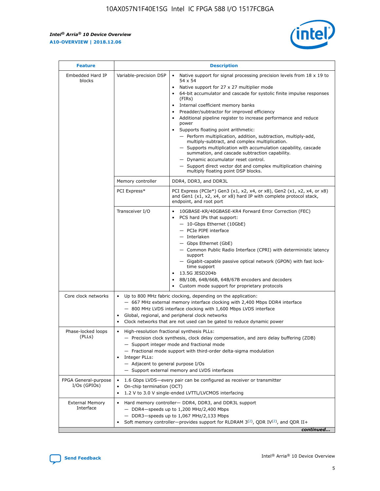$\mathsf{r}$ 



| <b>Feature</b>                         |                                                                                                                | <b>Description</b>                                                                                                                                                                                                                                                                                                                                                                                                                                                                                                                                                                                                                                                                                                                                                                                                                          |
|----------------------------------------|----------------------------------------------------------------------------------------------------------------|---------------------------------------------------------------------------------------------------------------------------------------------------------------------------------------------------------------------------------------------------------------------------------------------------------------------------------------------------------------------------------------------------------------------------------------------------------------------------------------------------------------------------------------------------------------------------------------------------------------------------------------------------------------------------------------------------------------------------------------------------------------------------------------------------------------------------------------------|
| Embedded Hard IP<br>blocks             | Variable-precision DSP                                                                                         | Native support for signal processing precision levels from $18 \times 19$ to<br>$\bullet$<br>54 x 54<br>Native support for 27 x 27 multiplier mode<br>64-bit accumulator and cascade for systolic finite impulse responses<br>(FIRs)<br>Internal coefficient memory banks<br>٠<br>Preadder/subtractor for improved efficiency<br>Additional pipeline register to increase performance and reduce<br>power<br>Supports floating point arithmetic:<br>- Perform multiplication, addition, subtraction, multiply-add,<br>multiply-subtract, and complex multiplication.<br>- Supports multiplication with accumulation capability, cascade<br>summation, and cascade subtraction capability.<br>- Dynamic accumulator reset control.<br>- Support direct vector dot and complex multiplication chaining<br>multiply floating point DSP blocks. |
|                                        | Memory controller                                                                                              | DDR4, DDR3, and DDR3L                                                                                                                                                                                                                                                                                                                                                                                                                                                                                                                                                                                                                                                                                                                                                                                                                       |
|                                        | PCI Express*                                                                                                   | PCI Express (PCIe*) Gen3 (x1, x2, x4, or x8), Gen2 (x1, x2, x4, or x8)<br>and Gen1 (x1, x2, x4, or x8) hard IP with complete protocol stack,<br>endpoint, and root port                                                                                                                                                                                                                                                                                                                                                                                                                                                                                                                                                                                                                                                                     |
|                                        | Transceiver I/O                                                                                                | 10GBASE-KR/40GBASE-KR4 Forward Error Correction (FEC)<br>PCS hard IPs that support:<br>- 10-Gbps Ethernet (10GbE)<br>- PCIe PIPE interface<br>- Interlaken<br>- Gbps Ethernet (GbE)<br>- Common Public Radio Interface (CPRI) with deterministic latency<br>support<br>- Gigabit-capable passive optical network (GPON) with fast lock-<br>time support<br>13.5G JESD204b<br>$\bullet$<br>8B/10B, 64B/66B, 64B/67B encoders and decoders<br>Custom mode support for proprietary protocols                                                                                                                                                                                                                                                                                                                                                   |
| Core clock networks                    | $\bullet$<br>$\bullet$                                                                                         | Up to 800 MHz fabric clocking, depending on the application:<br>- 667 MHz external memory interface clocking with 2,400 Mbps DDR4 interface<br>- 800 MHz LVDS interface clocking with 1,600 Mbps LVDS interface<br>Global, regional, and peripheral clock networks<br>Clock networks that are not used can be gated to reduce dynamic power                                                                                                                                                                                                                                                                                                                                                                                                                                                                                                 |
| Phase-locked loops<br>(PLLs)           | High-resolution fractional synthesis PLLs:<br>$\bullet$<br>Integer PLLs:<br>- Adjacent to general purpose I/Os | - Precision clock synthesis, clock delay compensation, and zero delay buffering (ZDB)<br>- Support integer mode and fractional mode<br>- Fractional mode support with third-order delta-sigma modulation<br>- Support external memory and LVDS interfaces                                                                                                                                                                                                                                                                                                                                                                                                                                                                                                                                                                                   |
| FPGA General-purpose<br>$I/Os$ (GPIOs) | On-chip termination (OCT)<br>$\bullet$                                                                         | 1.6 Gbps LVDS-every pair can be configured as receiver or transmitter<br>1.2 V to 3.0 V single-ended LVTTL/LVCMOS interfacing                                                                                                                                                                                                                                                                                                                                                                                                                                                                                                                                                                                                                                                                                                               |
| <b>External Memory</b><br>Interface    |                                                                                                                | Hard memory controller- DDR4, DDR3, and DDR3L support<br>$-$ DDR4-speeds up to 1,200 MHz/2,400 Mbps<br>- DDR3-speeds up to 1,067 MHz/2,133 Mbps<br>Soft memory controller—provides support for RLDRAM $3^{(2)}$ , QDR IV $(2^2)$ , and QDR II+<br>continued                                                                                                                                                                                                                                                                                                                                                                                                                                                                                                                                                                                 |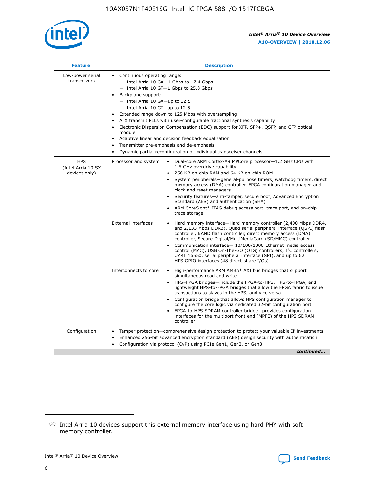

| <b>Feature</b>                                    | <b>Description</b>                                                                                                                                                                                                                                                                                                                                                                                                                                                                                                                                                                                                                           |
|---------------------------------------------------|----------------------------------------------------------------------------------------------------------------------------------------------------------------------------------------------------------------------------------------------------------------------------------------------------------------------------------------------------------------------------------------------------------------------------------------------------------------------------------------------------------------------------------------------------------------------------------------------------------------------------------------------|
| Low-power serial<br>transceivers                  | • Continuous operating range:<br>- Intel Arria 10 GX-1 Gbps to 17.4 Gbps<br>- Intel Arria 10 GT-1 Gbps to 25.8 Gbps<br>Backplane support:<br>$-$ Intel Arria 10 GX-up to 12.5<br>$-$ Intel Arria 10 GT-up to 12.5<br>Extended range down to 125 Mbps with oversampling<br>ATX transmit PLLs with user-configurable fractional synthesis capability<br>Electronic Dispersion Compensation (EDC) support for XFP, SFP+, QSFP, and CFP optical<br>module<br>• Adaptive linear and decision feedback equalization<br>Transmitter pre-emphasis and de-emphasis<br>$\bullet$<br>Dynamic partial reconfiguration of individual transceiver channels |
| <b>HPS</b><br>(Intel Arria 10 SX<br>devices only) | Dual-core ARM Cortex-A9 MPCore processor-1.2 GHz CPU with<br>Processor and system<br>$\bullet$<br>1.5 GHz overdrive capability<br>256 KB on-chip RAM and 64 KB on-chip ROM<br>System peripherals-general-purpose timers, watchdog timers, direct<br>memory access (DMA) controller, FPGA configuration manager, and<br>clock and reset managers<br>Security features-anti-tamper, secure boot, Advanced Encryption<br>$\bullet$<br>Standard (AES) and authentication (SHA)<br>ARM CoreSight* JTAG debug access port, trace port, and on-chip<br>trace storage                                                                                |
|                                                   | <b>External interfaces</b><br>Hard memory interface-Hard memory controller (2,400 Mbps DDR4,<br>$\bullet$<br>and 2,133 Mbps DDR3), Quad serial peripheral interface (QSPI) flash<br>controller, NAND flash controller, direct memory access (DMA)<br>controller, Secure Digital/MultiMediaCard (SD/MMC) controller<br>Communication interface-10/100/1000 Ethernet media access<br>$\bullet$<br>control (MAC), USB On-The-GO (OTG) controllers, I <sup>2</sup> C controllers,<br>UART 16550, serial peripheral interface (SPI), and up to 62<br>HPS GPIO interfaces (48 direct-share I/Os)                                                   |
|                                                   | High-performance ARM AMBA* AXI bus bridges that support<br>Interconnects to core<br>$\bullet$<br>simultaneous read and write<br>HPS-FPGA bridges-include the FPGA-to-HPS, HPS-to-FPGA, and<br>$\bullet$<br>lightweight HPS-to-FPGA bridges that allow the FPGA fabric to issue<br>transactions to slaves in the HPS, and vice versa<br>Configuration bridge that allows HPS configuration manager to<br>configure the core logic via dedicated 32-bit configuration port<br>FPGA-to-HPS SDRAM controller bridge-provides configuration<br>interfaces for the multiport front end (MPFE) of the HPS SDRAM<br>controller                       |
| Configuration                                     | Tamper protection—comprehensive design protection to protect your valuable IP investments<br>Enhanced 256-bit advanced encryption standard (AES) design security with authentication<br>٠<br>Configuration via protocol (CvP) using PCIe Gen1, Gen2, or Gen3<br>continued                                                                                                                                                                                                                                                                                                                                                                    |

<sup>(2)</sup> Intel Arria 10 devices support this external memory interface using hard PHY with soft memory controller.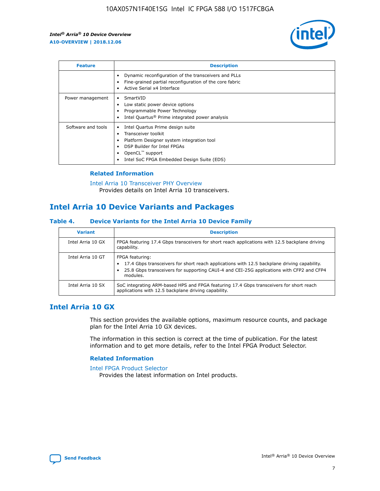

| <b>Feature</b>     | <b>Description</b>                                                                                                                                                                                               |
|--------------------|------------------------------------------------------------------------------------------------------------------------------------------------------------------------------------------------------------------|
|                    | Dynamic reconfiguration of the transceivers and PLLs<br>Fine-grained partial reconfiguration of the core fabric<br>Active Serial x4 Interface<br>$\bullet$                                                       |
| Power management   | SmartVID<br>Low static power device options<br>Programmable Power Technology<br>Intel Quartus <sup>®</sup> Prime integrated power analysis                                                                       |
| Software and tools | Intel Quartus Prime design suite<br>Transceiver toolkit<br>Platform Designer system integration tool<br>DSP Builder for Intel FPGAs<br>OpenCL <sup>™</sup> support<br>Intel SoC FPGA Embedded Design Suite (EDS) |

### **Related Information**

[Intel Arria 10 Transceiver PHY Overview](https://www.intel.com/content/www/us/en/programmable/documentation/nik1398707230472.html#nik1398706768037) Provides details on Intel Arria 10 transceivers.

### **Intel Arria 10 Device Variants and Packages**

#### **Table 4. Device Variants for the Intel Arria 10 Device Family**

| <b>Variant</b>    | <b>Description</b>                                                                                                                                                                                                     |
|-------------------|------------------------------------------------------------------------------------------------------------------------------------------------------------------------------------------------------------------------|
| Intel Arria 10 GX | FPGA featuring 17.4 Gbps transceivers for short reach applications with 12.5 backplane driving<br>capability.                                                                                                          |
| Intel Arria 10 GT | FPGA featuring:<br>17.4 Gbps transceivers for short reach applications with 12.5 backplane driving capability.<br>25.8 Gbps transceivers for supporting CAUI-4 and CEI-25G applications with CFP2 and CFP4<br>modules. |
| Intel Arria 10 SX | SoC integrating ARM-based HPS and FPGA featuring 17.4 Gbps transceivers for short reach<br>applications with 12.5 backplane driving capability.                                                                        |

### **Intel Arria 10 GX**

This section provides the available options, maximum resource counts, and package plan for the Intel Arria 10 GX devices.

The information in this section is correct at the time of publication. For the latest information and to get more details, refer to the Intel FPGA Product Selector.

### **Related Information**

#### [Intel FPGA Product Selector](http://www.altera.com/products/selector/psg-selector.html) Provides the latest information on Intel products.

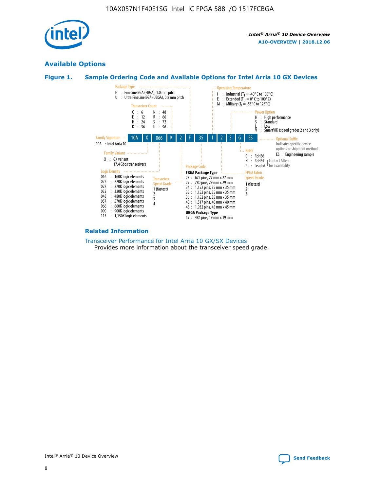

### **Available Options**





#### **Related Information**

[Transceiver Performance for Intel Arria 10 GX/SX Devices](https://www.intel.com/content/www/us/en/programmable/documentation/mcn1413182292568.html#mcn1413213965502) Provides more information about the transceiver speed grade.

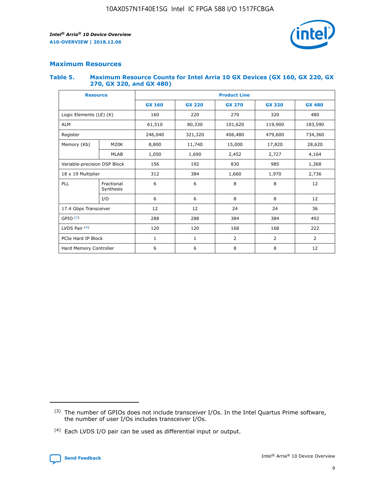

### **Maximum Resources**

#### **Table 5. Maximum Resource Counts for Intel Arria 10 GX Devices (GX 160, GX 220, GX 270, GX 320, and GX 480)**

| <b>Resource</b>         |                              | <b>Product Line</b> |                                                 |                |                |                |  |  |  |
|-------------------------|------------------------------|---------------------|-------------------------------------------------|----------------|----------------|----------------|--|--|--|
|                         |                              | <b>GX 160</b>       | <b>GX 220</b><br><b>GX 270</b><br><b>GX 320</b> |                |                | <b>GX 480</b>  |  |  |  |
| Logic Elements (LE) (K) |                              | 160                 | 220                                             | 270            | 320            | 480            |  |  |  |
| <b>ALM</b>              |                              | 61,510              | 80,330                                          | 101,620        | 119,900        | 183,590        |  |  |  |
| Register                |                              | 246,040             | 321,320                                         | 406,480        | 479,600        | 734,360        |  |  |  |
| Memory (Kb)             | M <sub>20</sub> K            | 8,800               | 11,740                                          | 15,000         | 17,820         | 28,620         |  |  |  |
|                         | <b>MLAB</b>                  | 1,050               | 1,690                                           | 2,452          | 2,727          | 4,164          |  |  |  |
|                         | Variable-precision DSP Block |                     | 192                                             | 830<br>985     |                | 1,368          |  |  |  |
| 18 x 19 Multiplier      |                              | 312                 | 384                                             | 1,970<br>1,660 |                | 2,736          |  |  |  |
| PLL                     | Fractional<br>Synthesis      | 6                   | 6                                               | 8              | 8              | 12             |  |  |  |
|                         | I/O                          | 6                   | 6                                               | 8              | 8              | 12             |  |  |  |
| 17.4 Gbps Transceiver   |                              | 12                  | 12                                              | 24             | 24             | 36             |  |  |  |
| GPIO <sup>(3)</sup>     |                              | 288                 | 288                                             | 384<br>384     |                | 492            |  |  |  |
| LVDS Pair $(4)$         |                              | 120                 | 120                                             | 168            | 168            | 222            |  |  |  |
| PCIe Hard IP Block      |                              | 1                   | 1                                               | 2              | $\overline{2}$ | $\overline{2}$ |  |  |  |
| Hard Memory Controller  |                              | 6                   | 6                                               | 8              | 8              | 12             |  |  |  |

<sup>(4)</sup> Each LVDS I/O pair can be used as differential input or output.



<sup>(3)</sup> The number of GPIOs does not include transceiver I/Os. In the Intel Quartus Prime software, the number of user I/Os includes transceiver I/Os.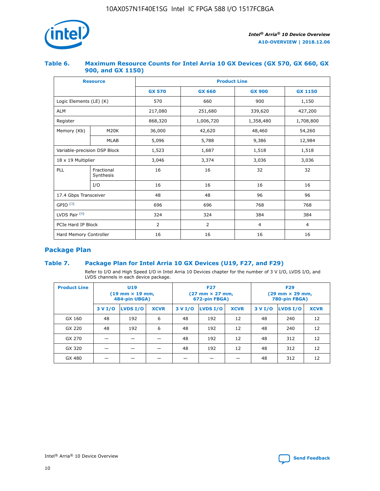

### **Table 6. Maximum Resource Counts for Intel Arria 10 GX Devices (GX 570, GX 660, GX 900, and GX 1150)**

|                              | <b>Resource</b>         | <b>Product Line</b> |               |                |                |  |  |  |  |
|------------------------------|-------------------------|---------------------|---------------|----------------|----------------|--|--|--|--|
|                              |                         | <b>GX 570</b>       | <b>GX 660</b> | <b>GX 900</b>  | <b>GX 1150</b> |  |  |  |  |
| Logic Elements (LE) (K)      |                         | 570                 | 660           | 900            | 1,150          |  |  |  |  |
| <b>ALM</b>                   |                         | 217,080             | 251,680       | 339,620        | 427,200        |  |  |  |  |
| Register                     |                         | 868,320             | 1,006,720     | 1,358,480      | 1,708,800      |  |  |  |  |
| Memory (Kb)                  | <b>M20K</b>             | 36,000              | 42,620        | 48,460         | 54,260         |  |  |  |  |
|                              | <b>MLAB</b>             | 5,096               | 5,788         | 9,386          | 12,984         |  |  |  |  |
| Variable-precision DSP Block |                         | 1,523               | 1,687         | 1,518          | 1,518          |  |  |  |  |
|                              | 18 x 19 Multiplier      |                     | 3,374         | 3,036          | 3,036          |  |  |  |  |
| PLL                          | Fractional<br>Synthesis | 16                  | 16            | 32             | 32             |  |  |  |  |
|                              | I/O                     | 16                  | 16            | 16             | 16             |  |  |  |  |
| 17.4 Gbps Transceiver        |                         | 48                  | 48            | 96             | 96             |  |  |  |  |
| GPIO <sup>(3)</sup>          |                         | 696                 | 696           | 768            | 768            |  |  |  |  |
| LVDS Pair $(4)$              |                         | 324                 | 324           | 384            | 384            |  |  |  |  |
| PCIe Hard IP Block           |                         | 2                   | 2             | $\overline{4}$ | 4              |  |  |  |  |
| Hard Memory Controller       |                         | 16                  | 16            | 16             | 16             |  |  |  |  |

### **Package Plan**

### **Table 7. Package Plan for Intel Arria 10 GX Devices (U19, F27, and F29)**

Refer to I/O and High Speed I/O in Intel Arria 10 Devices chapter for the number of 3 V I/O, LVDS I/O, and LVDS channels in each device package.

| <b>Product Line</b> | U <sub>19</sub><br>$(19 \text{ mm} \times 19 \text{ mm})$<br>484-pin UBGA) |          |             |         | <b>F27</b><br>(27 mm × 27 mm,<br>672-pin FBGA) |             | <b>F29</b><br>(29 mm × 29 mm,<br>780-pin FBGA) |          |             |  |
|---------------------|----------------------------------------------------------------------------|----------|-------------|---------|------------------------------------------------|-------------|------------------------------------------------|----------|-------------|--|
|                     | 3 V I/O                                                                    | LVDS I/O | <b>XCVR</b> | 3 V I/O | LVDS I/O                                       | <b>XCVR</b> | 3 V I/O                                        | LVDS I/O | <b>XCVR</b> |  |
| GX 160              | 48                                                                         | 192      | 6           | 48      | 192                                            | 12          | 48                                             | 240      | 12          |  |
| GX 220              | 48                                                                         | 192      | 6           | 48      | 192                                            | 12          | 48                                             | 240      | 12          |  |
| GX 270              |                                                                            |          |             | 48      | 192                                            | 12          | 48                                             | 312      | 12          |  |
| GX 320              |                                                                            |          |             | 48      | 192                                            | 12          | 48                                             | 312      | 12          |  |
| GX 480              |                                                                            |          |             |         |                                                |             | 48                                             | 312      | 12          |  |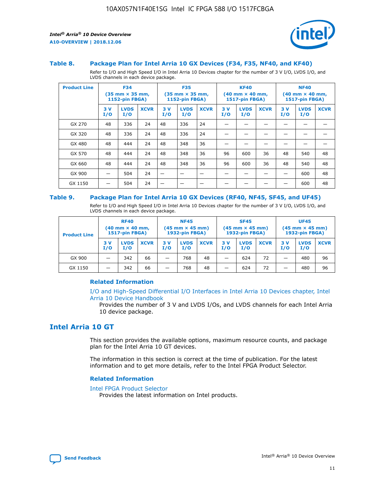

#### **Table 8. Package Plan for Intel Arria 10 GX Devices (F34, F35, NF40, and KF40)**

Refer to I/O and High Speed I/O in Intel Arria 10 Devices chapter for the number of 3 V I/O, LVDS I/O, and LVDS channels in each device package.

| <b>Product Line</b> | <b>F34</b><br>$(35 \text{ mm} \times 35 \text{ mm})$<br><b>1152-pin FBGA)</b> |                    | <b>F35</b><br>$(35 \text{ mm} \times 35 \text{ mm})$<br><b>1152-pin FBGA)</b> |           | <b>KF40</b><br>$(40$ mm $\times$ 40 mm,<br>1517-pin FBGA) |             |           | <b>NF40</b><br>$(40 \text{ mm} \times 40 \text{ mm})$<br>1517-pin FBGA) |             |           |                    |             |
|---------------------|-------------------------------------------------------------------------------|--------------------|-------------------------------------------------------------------------------|-----------|-----------------------------------------------------------|-------------|-----------|-------------------------------------------------------------------------|-------------|-----------|--------------------|-------------|
|                     | 3V<br>I/O                                                                     | <b>LVDS</b><br>I/O | <b>XCVR</b>                                                                   | 3V<br>I/O | <b>LVDS</b><br>I/O                                        | <b>XCVR</b> | 3V<br>I/O | <b>LVDS</b><br>I/O                                                      | <b>XCVR</b> | 3V<br>I/O | <b>LVDS</b><br>I/O | <b>XCVR</b> |
| GX 270              | 48                                                                            | 336                | 24                                                                            | 48        | 336                                                       | 24          |           |                                                                         |             |           |                    |             |
| GX 320              | 48                                                                            | 336                | 24                                                                            | 48        | 336                                                       | 24          |           |                                                                         |             |           |                    |             |
| GX 480              | 48                                                                            | 444                | 24                                                                            | 48        | 348                                                       | 36          |           |                                                                         |             |           |                    |             |
| GX 570              | 48                                                                            | 444                | 24                                                                            | 48        | 348                                                       | 36          | 96        | 600                                                                     | 36          | 48        | 540                | 48          |
| GX 660              | 48                                                                            | 444                | 24                                                                            | 48        | 348                                                       | 36          | 96        | 600                                                                     | 36          | 48        | 540                | 48          |
| GX 900              |                                                                               | 504                | 24                                                                            | –         |                                                           | -           |           |                                                                         |             |           | 600                | 48          |
| GX 1150             |                                                                               | 504                | 24                                                                            |           |                                                           |             |           |                                                                         |             |           | 600                | 48          |

#### **Table 9. Package Plan for Intel Arria 10 GX Devices (RF40, NF45, SF45, and UF45)**

Refer to I/O and High Speed I/O in Intel Arria 10 Devices chapter for the number of 3 V I/O, LVDS I/O, and LVDS channels in each device package.

| <b>Product Line</b> | <b>RF40</b><br>$(40$ mm $\times$ 40 mm,<br>1517-pin FBGA) |                    | <b>NF45</b><br>$(45 \text{ mm} \times 45 \text{ mm})$<br><b>1932-pin FBGA)</b> |            |                    | <b>SF45</b><br>$(45 \text{ mm} \times 45 \text{ mm})$<br><b>1932-pin FBGA)</b> |            |                    | <b>UF45</b><br>$(45 \text{ mm} \times 45 \text{ mm})$<br><b>1932-pin FBGA)</b> |           |                    |             |
|---------------------|-----------------------------------------------------------|--------------------|--------------------------------------------------------------------------------|------------|--------------------|--------------------------------------------------------------------------------|------------|--------------------|--------------------------------------------------------------------------------|-----------|--------------------|-------------|
|                     | 3V<br>I/O                                                 | <b>LVDS</b><br>I/O | <b>XCVR</b>                                                                    | 3 V<br>I/O | <b>LVDS</b><br>I/O | <b>XCVR</b>                                                                    | 3 V<br>I/O | <b>LVDS</b><br>I/O | <b>XCVR</b>                                                                    | 3V<br>I/O | <b>LVDS</b><br>I/O | <b>XCVR</b> |
| GX 900              |                                                           | 342                | 66                                                                             | _          | 768                | 48                                                                             |            | 624                | 72                                                                             |           | 480                | 96          |
| GX 1150             |                                                           | 342                | 66                                                                             | _          | 768                | 48                                                                             |            | 624                | 72                                                                             |           | 480                | 96          |

### **Related Information**

[I/O and High-Speed Differential I/O Interfaces in Intel Arria 10 Devices chapter, Intel](https://www.intel.com/content/www/us/en/programmable/documentation/sam1403482614086.html#sam1403482030321) [Arria 10 Device Handbook](https://www.intel.com/content/www/us/en/programmable/documentation/sam1403482614086.html#sam1403482030321)

Provides the number of 3 V and LVDS I/Os, and LVDS channels for each Intel Arria 10 device package.

### **Intel Arria 10 GT**

This section provides the available options, maximum resource counts, and package plan for the Intel Arria 10 GT devices.

The information in this section is correct at the time of publication. For the latest information and to get more details, refer to the Intel FPGA Product Selector.

#### **Related Information**

#### [Intel FPGA Product Selector](http://www.altera.com/products/selector/psg-selector.html)

Provides the latest information on Intel products.

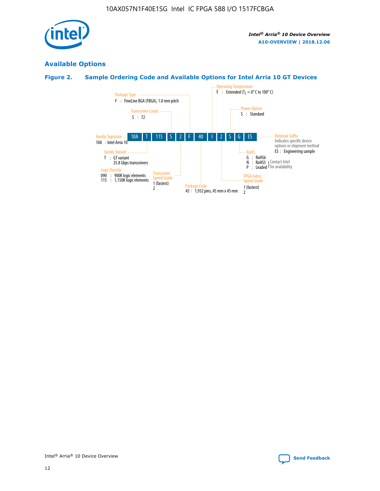

### **Available Options**

### **Figure 2. Sample Ordering Code and Available Options for Intel Arria 10 GT Devices**

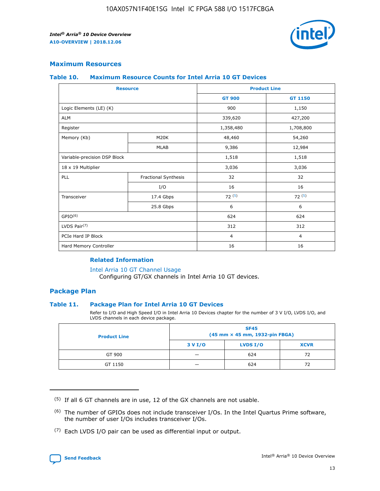

### **Maximum Resources**

#### **Table 10. Maximum Resource Counts for Intel Arria 10 GT Devices**

| <b>Resource</b>              |                      |                | <b>Product Line</b> |  |
|------------------------------|----------------------|----------------|---------------------|--|
|                              |                      | <b>GT 900</b>  | <b>GT 1150</b>      |  |
| Logic Elements (LE) (K)      |                      | 900            | 1,150               |  |
| <b>ALM</b>                   |                      | 339,620        | 427,200             |  |
| Register                     |                      | 1,358,480      | 1,708,800           |  |
| Memory (Kb)                  | M <sub>20</sub> K    | 48,460         | 54,260              |  |
|                              | <b>MLAB</b>          | 9,386          | 12,984              |  |
| Variable-precision DSP Block |                      | 1,518          | 1,518               |  |
| 18 x 19 Multiplier           |                      | 3,036          | 3,036               |  |
| PLL                          | Fractional Synthesis | 32             | 32                  |  |
|                              | I/O                  | 16             | 16                  |  |
| Transceiver                  | 17.4 Gbps            | 72(5)          | 72(5)               |  |
|                              | 25.8 Gbps            | 6              | 6                   |  |
| GPIO <sup>(6)</sup>          |                      | 624            | 624                 |  |
| LVDS Pair $(7)$              |                      | 312            | 312                 |  |
| PCIe Hard IP Block           |                      | $\overline{4}$ | $\overline{4}$      |  |
| Hard Memory Controller       |                      | 16             | 16                  |  |

### **Related Information**

#### [Intel Arria 10 GT Channel Usage](https://www.intel.com/content/www/us/en/programmable/documentation/nik1398707230472.html#nik1398707008178)

Configuring GT/GX channels in Intel Arria 10 GT devices.

### **Package Plan**

### **Table 11. Package Plan for Intel Arria 10 GT Devices**

Refer to I/O and High Speed I/O in Intel Arria 10 Devices chapter for the number of 3 V I/O, LVDS I/O, and LVDS channels in each device package.

| <b>Product Line</b> | <b>SF45</b><br>(45 mm × 45 mm, 1932-pin FBGA) |                 |             |  |  |  |
|---------------------|-----------------------------------------------|-----------------|-------------|--|--|--|
|                     | 3 V I/O                                       | <b>LVDS I/O</b> | <b>XCVR</b> |  |  |  |
| GT 900              |                                               | 624             | 72          |  |  |  |
| GT 1150             |                                               | 624             |             |  |  |  |

<sup>(7)</sup> Each LVDS I/O pair can be used as differential input or output.



 $(5)$  If all 6 GT channels are in use, 12 of the GX channels are not usable.

<sup>(6)</sup> The number of GPIOs does not include transceiver I/Os. In the Intel Quartus Prime software, the number of user I/Os includes transceiver I/Os.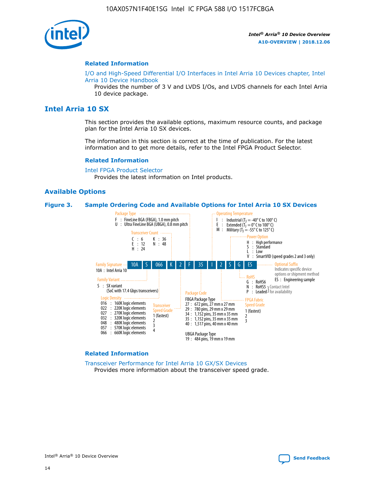

#### **Related Information**

[I/O and High-Speed Differential I/O Interfaces in Intel Arria 10 Devices chapter, Intel](https://www.intel.com/content/www/us/en/programmable/documentation/sam1403482614086.html#sam1403482030321) [Arria 10 Device Handbook](https://www.intel.com/content/www/us/en/programmable/documentation/sam1403482614086.html#sam1403482030321)

Provides the number of 3 V and LVDS I/Os, and LVDS channels for each Intel Arria 10 device package.

### **Intel Arria 10 SX**

This section provides the available options, maximum resource counts, and package plan for the Intel Arria 10 SX devices.

The information in this section is correct at the time of publication. For the latest information and to get more details, refer to the Intel FPGA Product Selector.

#### **Related Information**

[Intel FPGA Product Selector](http://www.altera.com/products/selector/psg-selector.html) Provides the latest information on Intel products.

### **Available Options**

#### **Figure 3. Sample Ordering Code and Available Options for Intel Arria 10 SX Devices**



#### **Related Information**

[Transceiver Performance for Intel Arria 10 GX/SX Devices](https://www.intel.com/content/www/us/en/programmable/documentation/mcn1413182292568.html#mcn1413213965502) Provides more information about the transceiver speed grade.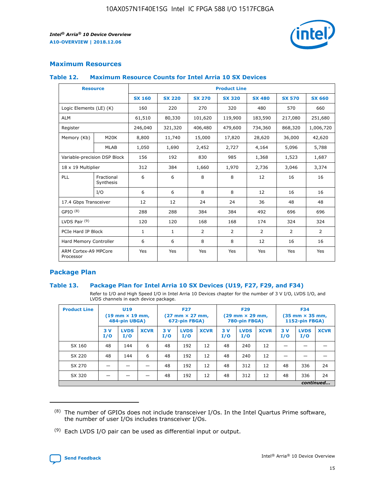

### **Maximum Resources**

### **Table 12. Maximum Resource Counts for Intel Arria 10 SX Devices**

| <b>Resource</b>                   |                         | <b>Product Line</b> |               |                |                |                |                |                |  |  |  |
|-----------------------------------|-------------------------|---------------------|---------------|----------------|----------------|----------------|----------------|----------------|--|--|--|
|                                   |                         | <b>SX 160</b>       | <b>SX 220</b> | <b>SX 270</b>  | <b>SX 320</b>  | <b>SX 480</b>  | <b>SX 570</b>  | <b>SX 660</b>  |  |  |  |
| Logic Elements (LE) (K)           |                         | 160                 | 220           | 270            | 320            | 480            | 570            | 660            |  |  |  |
| <b>ALM</b>                        |                         | 61,510              | 80,330        | 101,620        | 119,900        | 183,590        | 217,080        | 251,680        |  |  |  |
| Register                          |                         | 246,040             | 321,320       | 406,480        | 479,600        | 734,360        | 868,320        | 1,006,720      |  |  |  |
| Memory (Kb)                       | M <sub>20</sub> K       | 8,800               | 11,740        | 15,000         | 17,820         | 28,620         | 36,000         | 42,620         |  |  |  |
|                                   | <b>MLAB</b>             | 1,050               | 1,690         | 2,452          | 2,727          | 4,164          | 5,096          | 5,788          |  |  |  |
| Variable-precision DSP Block      |                         | 156                 | 192           | 830            | 985            | 1,368          | 1,523          | 1,687          |  |  |  |
| 18 x 19 Multiplier                |                         | 312                 | 384           | 1,660          | 1,970          | 2,736          | 3,046          | 3,374          |  |  |  |
| PLL                               | Fractional<br>Synthesis | 6                   | 6             | 8              | 8              | 12             | 16             | 16             |  |  |  |
|                                   | I/O                     | 6                   | 6             | 8              | 8              | 12             | 16             | 16             |  |  |  |
| 17.4 Gbps Transceiver             |                         | 12                  | 12            | 24             | 24             | 36             | 48             | 48             |  |  |  |
| GPIO <sup>(8)</sup>               |                         | 288                 | 288           | 384            | 384            | 492            | 696            | 696            |  |  |  |
| LVDS Pair $(9)$                   |                         | 120                 | 120           | 168            | 168            | 174            | 324            | 324            |  |  |  |
|                                   | PCIe Hard IP Block      |                     | $\mathbf{1}$  | $\overline{2}$ | $\overline{2}$ | $\overline{2}$ | $\overline{2}$ | $\overline{2}$ |  |  |  |
| Hard Memory Controller            |                         | 6                   | 6             | 8              | 8              | 12             | 16             | 16             |  |  |  |
| ARM Cortex-A9 MPCore<br>Processor |                         | Yes                 | Yes           | Yes            | Yes            | Yes            | Yes            | <b>Yes</b>     |  |  |  |

### **Package Plan**

### **Table 13. Package Plan for Intel Arria 10 SX Devices (U19, F27, F29, and F34)**

Refer to I/O and High Speed I/O in Intel Arria 10 Devices chapter for the number of 3 V I/O, LVDS I/O, and LVDS channels in each device package.

| <b>Product Line</b> | <b>U19</b><br>$(19 \text{ mm} \times 19 \text{ mm})$<br>484-pin UBGA) |                    | <b>F27</b><br>$(27 \text{ mm} \times 27 \text{ mm})$<br>672-pin FBGA) |           | <b>F29</b><br>$(29$ mm $\times$ 29 mm,<br>780-pin FBGA) |             |            | <b>F34</b><br>$(35 \text{ mm} \times 35 \text{ mm})$<br>1152-pin FBGA) |             |           |                    |             |
|---------------------|-----------------------------------------------------------------------|--------------------|-----------------------------------------------------------------------|-----------|---------------------------------------------------------|-------------|------------|------------------------------------------------------------------------|-------------|-----------|--------------------|-------------|
|                     | 3V<br>I/O                                                             | <b>LVDS</b><br>I/O | <b>XCVR</b>                                                           | 3V<br>I/O | <b>LVDS</b><br>I/O                                      | <b>XCVR</b> | 3 V<br>I/O | <b>LVDS</b><br>I/O                                                     | <b>XCVR</b> | 3V<br>I/O | <b>LVDS</b><br>I/O | <b>XCVR</b> |
| SX 160              | 48                                                                    | 144                | 6                                                                     | 48        | 192                                                     | 12          | 48         | 240                                                                    | 12          | –         |                    |             |
| SX 220              | 48                                                                    | 144                | 6                                                                     | 48        | 192                                                     | 12          | 48         | 240                                                                    | 12          |           |                    |             |
| SX 270              |                                                                       |                    |                                                                       | 48        | 192                                                     | 12          | 48         | 312                                                                    | 12          | 48        | 336                | 24          |
| SX 320              |                                                                       |                    |                                                                       | 48        | 192                                                     | 12          | 48         | 312                                                                    | 12          | 48        | 336                | 24          |
|                     | continued                                                             |                    |                                                                       |           |                                                         |             |            |                                                                        |             |           |                    |             |

 $(8)$  The number of GPIOs does not include transceiver I/Os. In the Intel Quartus Prime software, the number of user I/Os includes transceiver I/Os.

 $(9)$  Each LVDS I/O pair can be used as differential input or output.

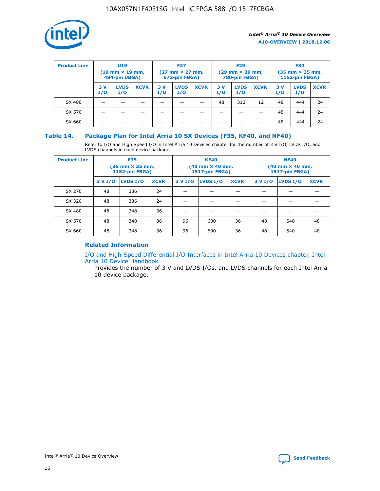

| <b>Product Line</b> | U <sub>19</sub><br>$(19 \text{ mm} \times 19 \text{ mm})$<br>484-pin UBGA) |                    | <b>F27</b><br>$(27 \text{ mm} \times 27 \text{ mm})$<br>672-pin FBGA) |           | <b>F29</b><br>$(29 \text{ mm} \times 29 \text{ mm})$<br>780-pin FBGA) |             |           | <b>F34</b><br>$(35$ mm $\times$ 35 mm,<br><b>1152-pin FBGA)</b> |             |           |                    |             |
|---------------------|----------------------------------------------------------------------------|--------------------|-----------------------------------------------------------------------|-----------|-----------------------------------------------------------------------|-------------|-----------|-----------------------------------------------------------------|-------------|-----------|--------------------|-------------|
|                     | 3V<br>I/O                                                                  | <b>LVDS</b><br>I/O | <b>XCVR</b>                                                           | 3V<br>I/O | <b>LVDS</b><br>I/O                                                    | <b>XCVR</b> | 3V<br>I/O | <b>LVDS</b><br>I/O                                              | <b>XCVR</b> | 3V<br>I/O | <b>LVDS</b><br>I/O | <b>XCVR</b> |
| SX 480              |                                                                            |                    |                                                                       |           |                                                                       |             | 48        | 312                                                             | 12          | 48        | 444                | 24          |
| SX 570              |                                                                            |                    |                                                                       |           |                                                                       |             |           |                                                                 |             | 48        | 444                | 24          |
| SX 660              |                                                                            |                    |                                                                       |           |                                                                       |             |           |                                                                 |             | 48        | 444                | 24          |

### **Table 14. Package Plan for Intel Arria 10 SX Devices (F35, KF40, and NF40)**

Refer to I/O and High Speed I/O in Intel Arria 10 Devices chapter for the number of 3 V I/O, LVDS I/O, and LVDS channels in each device package.

| <b>Product Line</b> | <b>F35</b><br>$(35 \text{ mm} \times 35 \text{ mm})$<br><b>1152-pin FBGA)</b> |          |             |                                           | <b>KF40</b><br>(40 mm × 40 mm,<br>1517-pin FBGA) |    | <b>NF40</b><br>$(40 \text{ mm} \times 40 \text{ mm})$<br>1517-pin FBGA) |          |             |  |
|---------------------|-------------------------------------------------------------------------------|----------|-------------|-------------------------------------------|--------------------------------------------------|----|-------------------------------------------------------------------------|----------|-------------|--|
|                     | 3 V I/O                                                                       | LVDS I/O | <b>XCVR</b> | <b>LVDS I/O</b><br><b>XCVR</b><br>3 V I/O |                                                  |    | 3 V I/O                                                                 | LVDS I/O | <b>XCVR</b> |  |
| SX 270              | 48                                                                            | 336      | 24          |                                           |                                                  |    |                                                                         |          |             |  |
| SX 320              | 48                                                                            | 336      | 24          |                                           |                                                  |    |                                                                         |          |             |  |
| SX 480              | 48                                                                            | 348      | 36          |                                           |                                                  |    |                                                                         |          |             |  |
| SX 570              | 48                                                                            | 348      | 36          | 96                                        | 600                                              | 36 | 48                                                                      | 540      | 48          |  |
| SX 660              | 48                                                                            | 348      | 36          | 96                                        | 600                                              | 36 | 48                                                                      | 540      | 48          |  |

### **Related Information**

[I/O and High-Speed Differential I/O Interfaces in Intel Arria 10 Devices chapter, Intel](https://www.intel.com/content/www/us/en/programmable/documentation/sam1403482614086.html#sam1403482030321) [Arria 10 Device Handbook](https://www.intel.com/content/www/us/en/programmable/documentation/sam1403482614086.html#sam1403482030321)

Provides the number of 3 V and LVDS I/Os, and LVDS channels for each Intel Arria 10 device package.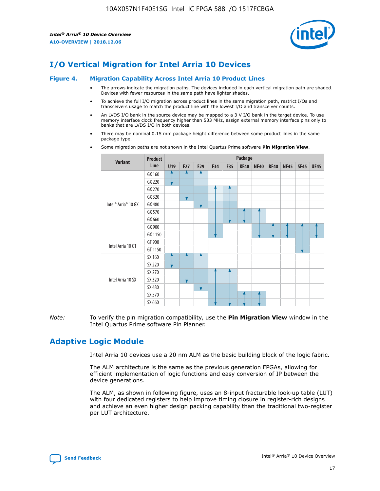

### **I/O Vertical Migration for Intel Arria 10 Devices**

#### **Figure 4. Migration Capability Across Intel Arria 10 Product Lines**

- The arrows indicate the migration paths. The devices included in each vertical migration path are shaded. Devices with fewer resources in the same path have lighter shades.
- To achieve the full I/O migration across product lines in the same migration path, restrict I/Os and transceivers usage to match the product line with the lowest I/O and transceiver counts.
- An LVDS I/O bank in the source device may be mapped to a 3 V I/O bank in the target device. To use memory interface clock frequency higher than 533 MHz, assign external memory interface pins only to banks that are LVDS I/O in both devices.
- There may be nominal 0.15 mm package height difference between some product lines in the same package type.
	- **Variant Product Line Package U19 F27 F29 F34 F35 KF40 NF40 RF40 NF45 SF45 UF45** Intel® Arria® 10 GX GX 160 GX 220 GX 270 GX 320 GX 480 GX 570 GX 660 GX 900 GX 1150 Intel Arria 10 GT GT 900 GT 1150 Intel Arria 10 SX SX 160 SX 220 SX 270 SX 320 SX 480 SX 570 SX 660
- Some migration paths are not shown in the Intel Quartus Prime software **Pin Migration View**.

*Note:* To verify the pin migration compatibility, use the **Pin Migration View** window in the Intel Quartus Prime software Pin Planner.

### **Adaptive Logic Module**

Intel Arria 10 devices use a 20 nm ALM as the basic building block of the logic fabric.

The ALM architecture is the same as the previous generation FPGAs, allowing for efficient implementation of logic functions and easy conversion of IP between the device generations.

The ALM, as shown in following figure, uses an 8-input fracturable look-up table (LUT) with four dedicated registers to help improve timing closure in register-rich designs and achieve an even higher design packing capability than the traditional two-register per LUT architecture.

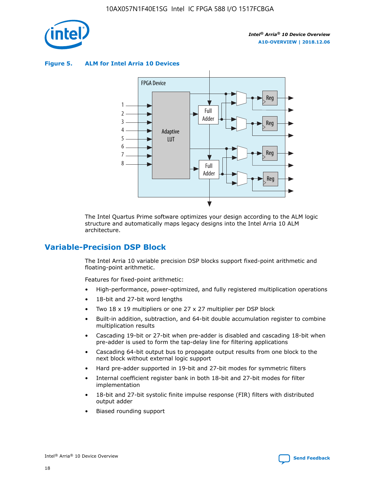

**Figure 5. ALM for Intel Arria 10 Devices**



The Intel Quartus Prime software optimizes your design according to the ALM logic structure and automatically maps legacy designs into the Intel Arria 10 ALM architecture.

### **Variable-Precision DSP Block**

The Intel Arria 10 variable precision DSP blocks support fixed-point arithmetic and floating-point arithmetic.

Features for fixed-point arithmetic:

- High-performance, power-optimized, and fully registered multiplication operations
- 18-bit and 27-bit word lengths
- Two 18 x 19 multipliers or one 27 x 27 multiplier per DSP block
- Built-in addition, subtraction, and 64-bit double accumulation register to combine multiplication results
- Cascading 19-bit or 27-bit when pre-adder is disabled and cascading 18-bit when pre-adder is used to form the tap-delay line for filtering applications
- Cascading 64-bit output bus to propagate output results from one block to the next block without external logic support
- Hard pre-adder supported in 19-bit and 27-bit modes for symmetric filters
- Internal coefficient register bank in both 18-bit and 27-bit modes for filter implementation
- 18-bit and 27-bit systolic finite impulse response (FIR) filters with distributed output adder
- Biased rounding support

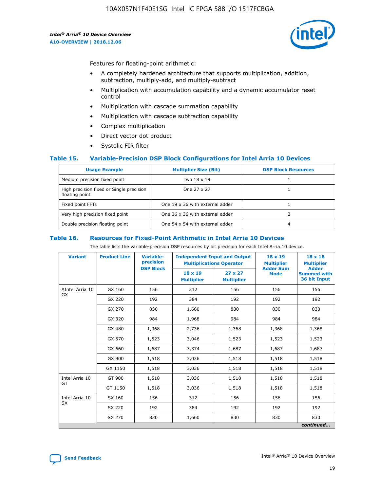

Features for floating-point arithmetic:

- A completely hardened architecture that supports multiplication, addition, subtraction, multiply-add, and multiply-subtract
- Multiplication with accumulation capability and a dynamic accumulator reset control
- Multiplication with cascade summation capability
- Multiplication with cascade subtraction capability
- Complex multiplication
- Direct vector dot product
- Systolic FIR filter

### **Table 15. Variable-Precision DSP Block Configurations for Intel Arria 10 Devices**

| <b>Usage Example</b>                                       | <b>Multiplier Size (Bit)</b>    | <b>DSP Block Resources</b> |
|------------------------------------------------------------|---------------------------------|----------------------------|
| Medium precision fixed point                               | Two 18 x 19                     |                            |
| High precision fixed or Single precision<br>floating point | One 27 x 27                     |                            |
| Fixed point FFTs                                           | One 19 x 36 with external adder |                            |
| Very high precision fixed point                            | One 36 x 36 with external adder |                            |
| Double precision floating point                            | One 54 x 54 with external adder | 4                          |

#### **Table 16. Resources for Fixed-Point Arithmetic in Intel Arria 10 Devices**

The table lists the variable-precision DSP resources by bit precision for each Intel Arria 10 device.

| <b>Variant</b>  | <b>Product Line</b> | <b>Variable-</b><br>precision<br><b>DSP Block</b> | <b>Independent Input and Output</b><br><b>Multiplications Operator</b> |                                     | 18 x 19<br><b>Multiplier</b><br><b>Adder Sum</b> | $18 \times 18$<br><b>Multiplier</b><br><b>Adder</b> |
|-----------------|---------------------|---------------------------------------------------|------------------------------------------------------------------------|-------------------------------------|--------------------------------------------------|-----------------------------------------------------|
|                 |                     |                                                   | 18 x 19<br><b>Multiplier</b>                                           | $27 \times 27$<br><b>Multiplier</b> | <b>Mode</b>                                      | <b>Summed with</b><br>36 bit Input                  |
| AIntel Arria 10 | GX 160              | 156                                               | 312                                                                    | 156                                 | 156                                              | 156                                                 |
| GX              | GX 220              | 192                                               | 384                                                                    | 192                                 | 192                                              | 192                                                 |
|                 | GX 270              | 830                                               | 1,660                                                                  | 830                                 | 830                                              | 830                                                 |
|                 | GX 320              | 984                                               | 1,968                                                                  | 984                                 | 984                                              | 984                                                 |
|                 | GX 480              | 1,368                                             | 2,736                                                                  | 1,368                               | 1,368                                            | 1,368                                               |
|                 | GX 570              | 1,523                                             | 3,046                                                                  | 1,523                               | 1,523                                            | 1,523                                               |
|                 | GX 660              | 1,687                                             | 3,374                                                                  | 1,687                               | 1,687                                            | 1,687                                               |
|                 | GX 900              | 1,518                                             | 3,036                                                                  | 1,518                               | 1,518                                            | 1,518                                               |
|                 | GX 1150             | 1,518                                             | 3,036                                                                  | 1,518                               | 1,518                                            | 1,518                                               |
| Intel Arria 10  | GT 900              | 1,518                                             | 3,036                                                                  | 1,518                               | 1,518                                            | 1,518                                               |
| GT              | GT 1150             | 1,518                                             | 3,036                                                                  | 1,518                               | 1,518                                            | 1,518                                               |
| Intel Arria 10  | SX 160              | 156                                               | 312                                                                    | 156                                 | 156                                              | 156                                                 |
| <b>SX</b>       | SX 220<br>192       |                                                   | 384                                                                    | 192                                 | 192                                              | 192                                                 |
|                 | SX 270              | 830                                               | 1,660                                                                  | 830                                 | 830                                              | 830                                                 |
|                 |                     |                                                   |                                                                        |                                     |                                                  | continued                                           |

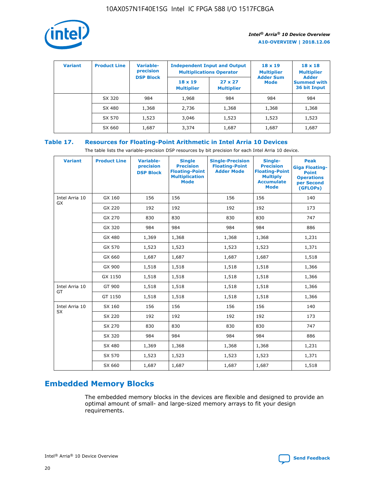

| <b>Variant</b> | <b>Product Line</b> | Variable-<br>precision | <b>Independent Input and Output</b><br><b>Multiplications Operator</b> |                                     | $18 \times 19$<br><b>Multiplier</b> | $18 \times 18$<br><b>Multiplier</b><br><b>Adder</b> |  |
|----------------|---------------------|------------------------|------------------------------------------------------------------------|-------------------------------------|-------------------------------------|-----------------------------------------------------|--|
|                |                     | <b>DSP Block</b>       | $18 \times 19$<br><b>Multiplier</b>                                    | $27 \times 27$<br><b>Multiplier</b> | <b>Adder Sum</b><br><b>Mode</b>     | <b>Summed with</b><br>36 bit Input                  |  |
|                | SX 320              | 984                    | 1,968                                                                  | 984                                 | 984                                 | 984                                                 |  |
|                | SX 480              | 1,368                  | 2,736                                                                  | 1,368                               | 1,368                               | 1,368                                               |  |
|                | SX 570              | 1,523                  | 3,046                                                                  | 1,523                               | 1,523                               | 1,523                                               |  |
|                | SX 660              | 1,687                  | 3,374                                                                  | 1,687                               | 1,687                               | 1,687                                               |  |

### **Table 17. Resources for Floating-Point Arithmetic in Intel Arria 10 Devices**

The table lists the variable-precision DSP resources by bit precision for each Intel Arria 10 device.

| <b>Variant</b> | <b>Product Line</b> | <b>Variable-</b><br>precision<br><b>DSP Block</b> | <b>Single</b><br><b>Precision</b><br><b>Floating-Point</b><br><b>Multiplication</b><br><b>Mode</b> | <b>Single-Precision</b><br><b>Floating-Point</b><br><b>Adder Mode</b> | Single-<br><b>Precision</b><br><b>Floating-Point</b><br><b>Multiply</b><br><b>Accumulate</b><br><b>Mode</b> | <b>Peak</b><br><b>Giga Floating-</b><br><b>Point</b><br><b>Operations</b><br>per Second<br>(GFLOPs) |
|----------------|---------------------|---------------------------------------------------|----------------------------------------------------------------------------------------------------|-----------------------------------------------------------------------|-------------------------------------------------------------------------------------------------------------|-----------------------------------------------------------------------------------------------------|
| Intel Arria 10 | GX 160              | 156                                               | 156                                                                                                | 156                                                                   | 156                                                                                                         | 140                                                                                                 |
| GX             | GX 220              | 192                                               | 192                                                                                                | 192                                                                   | 192                                                                                                         | 173                                                                                                 |
|                | GX 270              | 830                                               | 830                                                                                                | 830                                                                   | 830                                                                                                         | 747                                                                                                 |
|                | GX 320              | 984                                               | 984                                                                                                | 984                                                                   | 984                                                                                                         | 886                                                                                                 |
|                | GX 480              | 1,369                                             | 1,368                                                                                              | 1,368                                                                 | 1,368                                                                                                       | 1,231                                                                                               |
|                | GX 570              | 1,523                                             | 1,523                                                                                              | 1,523                                                                 | 1,523                                                                                                       | 1,371                                                                                               |
|                | GX 660              | 1,687                                             | 1,687                                                                                              | 1,687                                                                 | 1,687                                                                                                       | 1,518                                                                                               |
|                | GX 900              | 1,518                                             | 1,518                                                                                              | 1,518                                                                 | 1,518                                                                                                       | 1,366                                                                                               |
|                | GX 1150             | 1,518                                             | 1,518                                                                                              | 1,518                                                                 | 1,518                                                                                                       | 1,366                                                                                               |
| Intel Arria 10 | GT 900              | 1,518                                             | 1,518                                                                                              | 1,518                                                                 | 1,518                                                                                                       | 1,366                                                                                               |
| GT             | GT 1150             | 1,518                                             | 1,518                                                                                              | 1,518                                                                 | 1,518                                                                                                       | 1,366                                                                                               |
| Intel Arria 10 | SX 160              | 156                                               | 156                                                                                                | 156                                                                   | 156                                                                                                         | 140                                                                                                 |
| SX             | SX 220              | 192                                               | 192                                                                                                | 192                                                                   | 192                                                                                                         | 173                                                                                                 |
|                | SX 270              | 830                                               | 830                                                                                                | 830                                                                   | 830                                                                                                         | 747                                                                                                 |
|                | SX 320              | 984                                               | 984                                                                                                | 984                                                                   | 984                                                                                                         | 886                                                                                                 |
|                | SX 480              | 1,369                                             | 1,368                                                                                              | 1,368                                                                 | 1,368                                                                                                       | 1,231                                                                                               |
|                | SX 570              | 1,523                                             | 1,523                                                                                              | 1,523                                                                 | 1,523                                                                                                       | 1,371                                                                                               |
|                | SX 660              | 1,687                                             | 1,687                                                                                              | 1,687                                                                 | 1,687                                                                                                       | 1,518                                                                                               |

### **Embedded Memory Blocks**

The embedded memory blocks in the devices are flexible and designed to provide an optimal amount of small- and large-sized memory arrays to fit your design requirements.

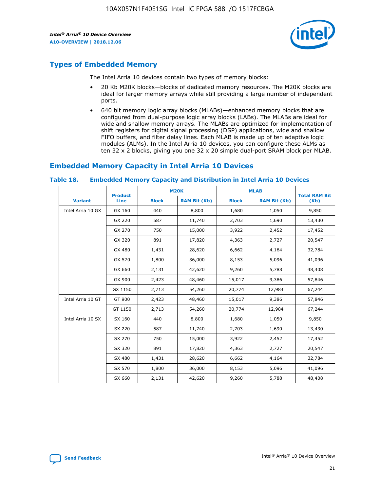

### **Types of Embedded Memory**

The Intel Arria 10 devices contain two types of memory blocks:

- 20 Kb M20K blocks—blocks of dedicated memory resources. The M20K blocks are ideal for larger memory arrays while still providing a large number of independent ports.
- 640 bit memory logic array blocks (MLABs)—enhanced memory blocks that are configured from dual-purpose logic array blocks (LABs). The MLABs are ideal for wide and shallow memory arrays. The MLABs are optimized for implementation of shift registers for digital signal processing (DSP) applications, wide and shallow FIFO buffers, and filter delay lines. Each MLAB is made up of ten adaptive logic modules (ALMs). In the Intel Arria 10 devices, you can configure these ALMs as ten 32 x 2 blocks, giving you one 32 x 20 simple dual-port SRAM block per MLAB.

### **Embedded Memory Capacity in Intel Arria 10 Devices**

|                   | <b>Product</b> | <b>M20K</b>  |                     | <b>MLAB</b>  |                     | <b>Total RAM Bit</b> |
|-------------------|----------------|--------------|---------------------|--------------|---------------------|----------------------|
| <b>Variant</b>    | <b>Line</b>    | <b>Block</b> | <b>RAM Bit (Kb)</b> | <b>Block</b> | <b>RAM Bit (Kb)</b> | (Kb)                 |
| Intel Arria 10 GX | GX 160         | 440          | 8,800               | 1,680        | 1,050               | 9,850                |
|                   | GX 220         | 587          | 11,740              | 2,703        | 1,690               | 13,430               |
|                   | GX 270         | 750          | 15,000              | 3,922        | 2,452               | 17,452               |
|                   | GX 320         | 891          | 17,820              | 4,363        | 2,727               | 20,547               |
|                   | GX 480         | 1,431        | 28,620              | 6,662        | 4,164               | 32,784               |
|                   | GX 570         | 1,800        | 36,000              | 8,153        | 5,096               | 41,096               |
|                   | GX 660         | 2,131        | 42,620              | 9,260        | 5,788               | 48,408               |
|                   | GX 900         | 2,423        | 48,460              | 15,017       | 9,386               | 57,846               |
|                   | GX 1150        | 2,713        | 54,260              | 20,774       | 12,984              | 67,244               |
| Intel Arria 10 GT | GT 900         | 2,423        | 48,460              | 15,017       | 9,386               | 57,846               |
|                   | GT 1150        | 2,713        | 54,260              | 20,774       | 12,984              | 67,244               |
| Intel Arria 10 SX | SX 160         | 440          | 8,800               | 1,680        | 1,050               | 9,850                |
|                   | SX 220         | 587          | 11,740              | 2,703        | 1,690               | 13,430               |
|                   | SX 270         | 750          | 15,000              | 3,922        | 2,452               | 17,452               |
|                   | SX 320         | 891          | 17,820              | 4,363        | 2,727               | 20,547               |
|                   | SX 480         | 1,431        | 28,620              | 6,662        | 4,164               | 32,784               |
|                   | SX 570         | 1,800        | 36,000              | 8,153        | 5,096               | 41,096               |
|                   | SX 660         | 2,131        | 42,620              | 9,260        | 5,788               | 48,408               |

#### **Table 18. Embedded Memory Capacity and Distribution in Intel Arria 10 Devices**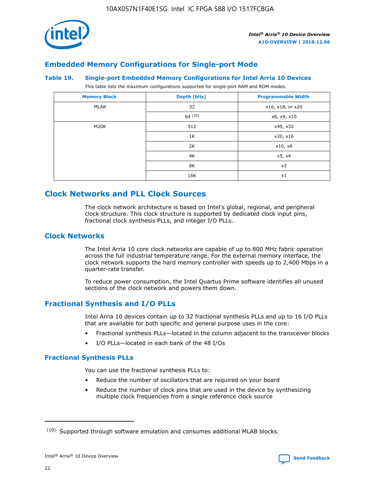

### **Embedded Memory Configurations for Single-port Mode**

#### **Table 19. Single-port Embedded Memory Configurations for Intel Arria 10 Devices**

This table lists the maximum configurations supported for single-port RAM and ROM modes.

| <b>Memory Block</b> | Depth (bits) | <b>Programmable Width</b> |
|---------------------|--------------|---------------------------|
| MLAB                | 32           | x16, x18, or x20          |
|                     | 64(10)       | x8, x9, x10               |
| M20K                | 512          | x40, x32                  |
|                     | 1K           | x20, x16                  |
|                     | 2K           | x10, x8                   |
|                     | 4K           | x5, x4                    |
|                     | 8K           | x2                        |
|                     | 16K          | x1                        |

### **Clock Networks and PLL Clock Sources**

The clock network architecture is based on Intel's global, regional, and peripheral clock structure. This clock structure is supported by dedicated clock input pins, fractional clock synthesis PLLs, and integer I/O PLLs.

### **Clock Networks**

The Intel Arria 10 core clock networks are capable of up to 800 MHz fabric operation across the full industrial temperature range. For the external memory interface, the clock network supports the hard memory controller with speeds up to 2,400 Mbps in a quarter-rate transfer.

To reduce power consumption, the Intel Quartus Prime software identifies all unused sections of the clock network and powers them down.

### **Fractional Synthesis and I/O PLLs**

Intel Arria 10 devices contain up to 32 fractional synthesis PLLs and up to 16 I/O PLLs that are available for both specific and general purpose uses in the core:

- Fractional synthesis PLLs—located in the column adjacent to the transceiver blocks
- I/O PLLs—located in each bank of the 48 I/Os

### **Fractional Synthesis PLLs**

You can use the fractional synthesis PLLs to:

- Reduce the number of oscillators that are required on your board
- Reduce the number of clock pins that are used in the device by synthesizing multiple clock frequencies from a single reference clock source

<sup>(10)</sup> Supported through software emulation and consumes additional MLAB blocks.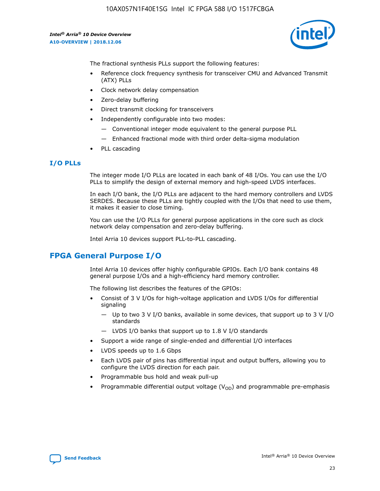

The fractional synthesis PLLs support the following features:

- Reference clock frequency synthesis for transceiver CMU and Advanced Transmit (ATX) PLLs
- Clock network delay compensation
- Zero-delay buffering
- Direct transmit clocking for transceivers
- Independently configurable into two modes:
	- Conventional integer mode equivalent to the general purpose PLL
	- Enhanced fractional mode with third order delta-sigma modulation
- PLL cascading

### **I/O PLLs**

The integer mode I/O PLLs are located in each bank of 48 I/Os. You can use the I/O PLLs to simplify the design of external memory and high-speed LVDS interfaces.

In each I/O bank, the I/O PLLs are adjacent to the hard memory controllers and LVDS SERDES. Because these PLLs are tightly coupled with the I/Os that need to use them, it makes it easier to close timing.

You can use the I/O PLLs for general purpose applications in the core such as clock network delay compensation and zero-delay buffering.

Intel Arria 10 devices support PLL-to-PLL cascading.

### **FPGA General Purpose I/O**

Intel Arria 10 devices offer highly configurable GPIOs. Each I/O bank contains 48 general purpose I/Os and a high-efficiency hard memory controller.

The following list describes the features of the GPIOs:

- Consist of 3 V I/Os for high-voltage application and LVDS I/Os for differential signaling
	- Up to two 3 V I/O banks, available in some devices, that support up to 3 V I/O standards
	- LVDS I/O banks that support up to 1.8 V I/O standards
- Support a wide range of single-ended and differential I/O interfaces
- LVDS speeds up to 1.6 Gbps
- Each LVDS pair of pins has differential input and output buffers, allowing you to configure the LVDS direction for each pair.
- Programmable bus hold and weak pull-up
- Programmable differential output voltage  $(V_{OD})$  and programmable pre-emphasis

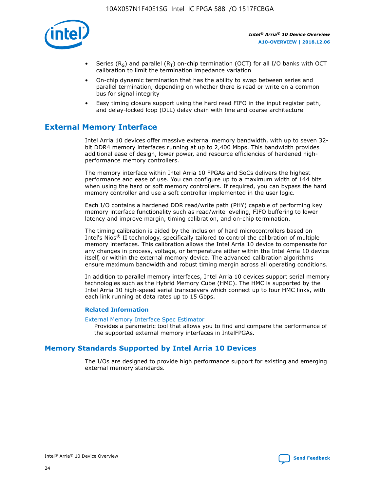

- Series (R<sub>S</sub>) and parallel (R<sub>T</sub>) on-chip termination (OCT) for all I/O banks with OCT calibration to limit the termination impedance variation
- On-chip dynamic termination that has the ability to swap between series and parallel termination, depending on whether there is read or write on a common bus for signal integrity
- Easy timing closure support using the hard read FIFO in the input register path, and delay-locked loop (DLL) delay chain with fine and coarse architecture

### **External Memory Interface**

Intel Arria 10 devices offer massive external memory bandwidth, with up to seven 32 bit DDR4 memory interfaces running at up to 2,400 Mbps. This bandwidth provides additional ease of design, lower power, and resource efficiencies of hardened highperformance memory controllers.

The memory interface within Intel Arria 10 FPGAs and SoCs delivers the highest performance and ease of use. You can configure up to a maximum width of 144 bits when using the hard or soft memory controllers. If required, you can bypass the hard memory controller and use a soft controller implemented in the user logic.

Each I/O contains a hardened DDR read/write path (PHY) capable of performing key memory interface functionality such as read/write leveling, FIFO buffering to lower latency and improve margin, timing calibration, and on-chip termination.

The timing calibration is aided by the inclusion of hard microcontrollers based on Intel's Nios® II technology, specifically tailored to control the calibration of multiple memory interfaces. This calibration allows the Intel Arria 10 device to compensate for any changes in process, voltage, or temperature either within the Intel Arria 10 device itself, or within the external memory device. The advanced calibration algorithms ensure maximum bandwidth and robust timing margin across all operating conditions.

In addition to parallel memory interfaces, Intel Arria 10 devices support serial memory technologies such as the Hybrid Memory Cube (HMC). The HMC is supported by the Intel Arria 10 high-speed serial transceivers which connect up to four HMC links, with each link running at data rates up to 15 Gbps.

### **Related Information**

#### [External Memory Interface Spec Estimator](http://www.altera.com/technology/memory/estimator/mem-emif-index.html)

Provides a parametric tool that allows you to find and compare the performance of the supported external memory interfaces in IntelFPGAs.

### **Memory Standards Supported by Intel Arria 10 Devices**

The I/Os are designed to provide high performance support for existing and emerging external memory standards.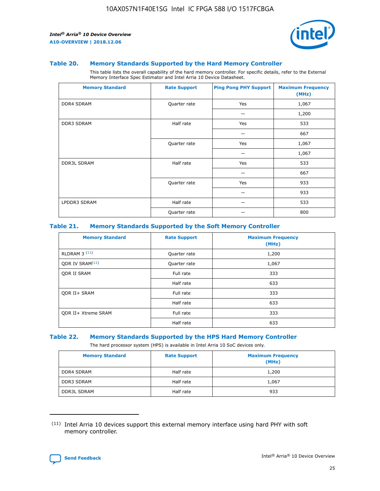

#### **Table 20. Memory Standards Supported by the Hard Memory Controller**

This table lists the overall capability of the hard memory controller. For specific details, refer to the External Memory Interface Spec Estimator and Intel Arria 10 Device Datasheet.

| <b>Memory Standard</b> | <b>Rate Support</b> | <b>Ping Pong PHY Support</b> | <b>Maximum Frequency</b><br>(MHz) |
|------------------------|---------------------|------------------------------|-----------------------------------|
| <b>DDR4 SDRAM</b>      | Quarter rate        | Yes                          | 1,067                             |
|                        |                     |                              | 1,200                             |
| DDR3 SDRAM             | Half rate           | Yes                          | 533                               |
|                        |                     |                              | 667                               |
|                        | Quarter rate        | Yes                          | 1,067                             |
|                        |                     |                              | 1,067                             |
| <b>DDR3L SDRAM</b>     | Half rate           | Yes                          | 533                               |
|                        |                     |                              | 667                               |
|                        | Quarter rate        | Yes                          | 933                               |
|                        |                     |                              | 933                               |
| LPDDR3 SDRAM           | Half rate           |                              | 533                               |
|                        | Quarter rate        |                              | 800                               |

### **Table 21. Memory Standards Supported by the Soft Memory Controller**

| <b>Memory Standard</b>      | <b>Rate Support</b> | <b>Maximum Frequency</b><br>(MHz) |
|-----------------------------|---------------------|-----------------------------------|
| <b>RLDRAM 3 (11)</b>        | Quarter rate        | 1,200                             |
| ODR IV SRAM <sup>(11)</sup> | Quarter rate        | 1,067                             |
| <b>ODR II SRAM</b>          | Full rate           | 333                               |
|                             | Half rate           | 633                               |
| <b>ODR II+ SRAM</b>         | Full rate           | 333                               |
|                             | Half rate           | 633                               |
| <b>ODR II+ Xtreme SRAM</b>  | Full rate           | 333                               |
|                             | Half rate           | 633                               |

#### **Table 22. Memory Standards Supported by the HPS Hard Memory Controller**

The hard processor system (HPS) is available in Intel Arria 10 SoC devices only.

| <b>Memory Standard</b> | <b>Rate Support</b> | <b>Maximum Frequency</b><br>(MHz) |
|------------------------|---------------------|-----------------------------------|
| <b>DDR4 SDRAM</b>      | Half rate           | 1,200                             |
| <b>DDR3 SDRAM</b>      | Half rate           | 1,067                             |
| <b>DDR3L SDRAM</b>     | Half rate           | 933                               |

<sup>(11)</sup> Intel Arria 10 devices support this external memory interface using hard PHY with soft memory controller.

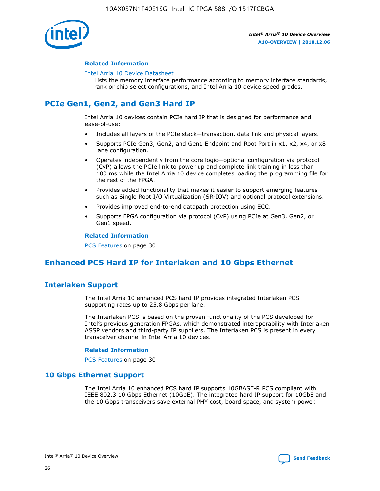

### **Related Information**

#### [Intel Arria 10 Device Datasheet](https://www.intel.com/content/www/us/en/programmable/documentation/mcn1413182292568.html#mcn1413182153340)

Lists the memory interface performance according to memory interface standards, rank or chip select configurations, and Intel Arria 10 device speed grades.

### **PCIe Gen1, Gen2, and Gen3 Hard IP**

Intel Arria 10 devices contain PCIe hard IP that is designed for performance and ease-of-use:

- Includes all layers of the PCIe stack—transaction, data link and physical layers.
- Supports PCIe Gen3, Gen2, and Gen1 Endpoint and Root Port in x1, x2, x4, or x8 lane configuration.
- Operates independently from the core logic—optional configuration via protocol (CvP) allows the PCIe link to power up and complete link training in less than 100 ms while the Intel Arria 10 device completes loading the programming file for the rest of the FPGA.
- Provides added functionality that makes it easier to support emerging features such as Single Root I/O Virtualization (SR-IOV) and optional protocol extensions.
- Provides improved end-to-end datapath protection using ECC.
- Supports FPGA configuration via protocol (CvP) using PCIe at Gen3, Gen2, or Gen1 speed.

#### **Related Information**

PCS Features on page 30

### **Enhanced PCS Hard IP for Interlaken and 10 Gbps Ethernet**

### **Interlaken Support**

The Intel Arria 10 enhanced PCS hard IP provides integrated Interlaken PCS supporting rates up to 25.8 Gbps per lane.

The Interlaken PCS is based on the proven functionality of the PCS developed for Intel's previous generation FPGAs, which demonstrated interoperability with Interlaken ASSP vendors and third-party IP suppliers. The Interlaken PCS is present in every transceiver channel in Intel Arria 10 devices.

### **Related Information**

PCS Features on page 30

### **10 Gbps Ethernet Support**

The Intel Arria 10 enhanced PCS hard IP supports 10GBASE-R PCS compliant with IEEE 802.3 10 Gbps Ethernet (10GbE). The integrated hard IP support for 10GbE and the 10 Gbps transceivers save external PHY cost, board space, and system power.

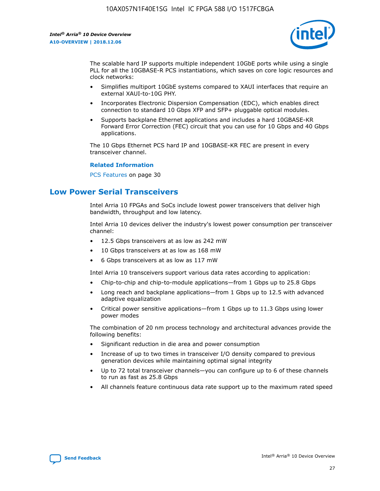

The scalable hard IP supports multiple independent 10GbE ports while using a single PLL for all the 10GBASE-R PCS instantiations, which saves on core logic resources and clock networks:

- Simplifies multiport 10GbE systems compared to XAUI interfaces that require an external XAUI-to-10G PHY.
- Incorporates Electronic Dispersion Compensation (EDC), which enables direct connection to standard 10 Gbps XFP and SFP+ pluggable optical modules.
- Supports backplane Ethernet applications and includes a hard 10GBASE-KR Forward Error Correction (FEC) circuit that you can use for 10 Gbps and 40 Gbps applications.

The 10 Gbps Ethernet PCS hard IP and 10GBASE-KR FEC are present in every transceiver channel.

#### **Related Information**

PCS Features on page 30

### **Low Power Serial Transceivers**

Intel Arria 10 FPGAs and SoCs include lowest power transceivers that deliver high bandwidth, throughput and low latency.

Intel Arria 10 devices deliver the industry's lowest power consumption per transceiver channel:

- 12.5 Gbps transceivers at as low as 242 mW
- 10 Gbps transceivers at as low as 168 mW
- 6 Gbps transceivers at as low as 117 mW

Intel Arria 10 transceivers support various data rates according to application:

- Chip-to-chip and chip-to-module applications—from 1 Gbps up to 25.8 Gbps
- Long reach and backplane applications—from 1 Gbps up to 12.5 with advanced adaptive equalization
- Critical power sensitive applications—from 1 Gbps up to 11.3 Gbps using lower power modes

The combination of 20 nm process technology and architectural advances provide the following benefits:

- Significant reduction in die area and power consumption
- Increase of up to two times in transceiver I/O density compared to previous generation devices while maintaining optimal signal integrity
- Up to 72 total transceiver channels—you can configure up to 6 of these channels to run as fast as 25.8 Gbps
- All channels feature continuous data rate support up to the maximum rated speed

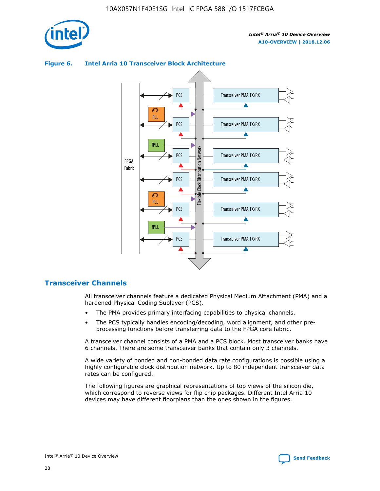



### **Figure 6. Intel Arria 10 Transceiver Block Architecture**

### **Transceiver Channels**

All transceiver channels feature a dedicated Physical Medium Attachment (PMA) and a hardened Physical Coding Sublayer (PCS).

- The PMA provides primary interfacing capabilities to physical channels.
- The PCS typically handles encoding/decoding, word alignment, and other preprocessing functions before transferring data to the FPGA core fabric.

A transceiver channel consists of a PMA and a PCS block. Most transceiver banks have 6 channels. There are some transceiver banks that contain only 3 channels.

A wide variety of bonded and non-bonded data rate configurations is possible using a highly configurable clock distribution network. Up to 80 independent transceiver data rates can be configured.

The following figures are graphical representations of top views of the silicon die, which correspond to reverse views for flip chip packages. Different Intel Arria 10 devices may have different floorplans than the ones shown in the figures.

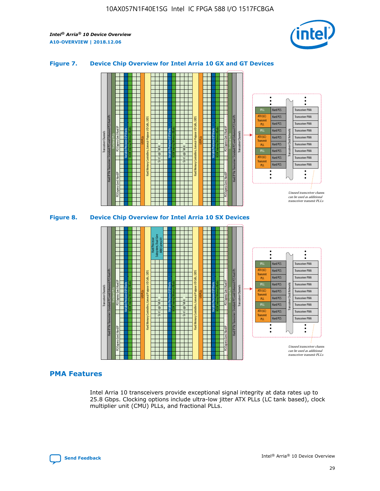

### **Figure 7. Device Chip Overview for Intel Arria 10 GX and GT Devices**





### **PMA Features**

Intel Arria 10 transceivers provide exceptional signal integrity at data rates up to 25.8 Gbps. Clocking options include ultra-low jitter ATX PLLs (LC tank based), clock multiplier unit (CMU) PLLs, and fractional PLLs.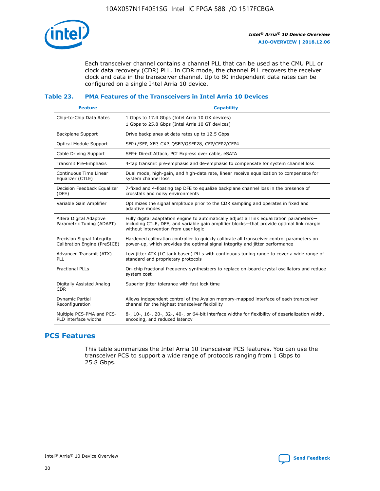

Each transceiver channel contains a channel PLL that can be used as the CMU PLL or clock data recovery (CDR) PLL. In CDR mode, the channel PLL recovers the receiver clock and data in the transceiver channel. Up to 80 independent data rates can be configured on a single Intel Arria 10 device.

### **Table 23. PMA Features of the Transceivers in Intel Arria 10 Devices**

| <b>Feature</b>                                             | <b>Capability</b>                                                                                                                                                                                                             |
|------------------------------------------------------------|-------------------------------------------------------------------------------------------------------------------------------------------------------------------------------------------------------------------------------|
| Chip-to-Chip Data Rates                                    | 1 Gbps to 17.4 Gbps (Intel Arria 10 GX devices)<br>1 Gbps to 25.8 Gbps (Intel Arria 10 GT devices)                                                                                                                            |
| Backplane Support                                          | Drive backplanes at data rates up to 12.5 Gbps                                                                                                                                                                                |
| <b>Optical Module Support</b>                              | SFP+/SFP, XFP, CXP, QSFP/QSFP28, CFP/CFP2/CFP4                                                                                                                                                                                |
| Cable Driving Support                                      | SFP+ Direct Attach, PCI Express over cable, eSATA                                                                                                                                                                             |
| Transmit Pre-Emphasis                                      | 4-tap transmit pre-emphasis and de-emphasis to compensate for system channel loss                                                                                                                                             |
| Continuous Time Linear<br>Equalizer (CTLE)                 | Dual mode, high-gain, and high-data rate, linear receive equalization to compensate for<br>system channel loss                                                                                                                |
| Decision Feedback Equalizer<br>(DFE)                       | 7-fixed and 4-floating tap DFE to equalize backplane channel loss in the presence of<br>crosstalk and noisy environments                                                                                                      |
| Variable Gain Amplifier                                    | Optimizes the signal amplitude prior to the CDR sampling and operates in fixed and<br>adaptive modes                                                                                                                          |
| Altera Digital Adaptive<br>Parametric Tuning (ADAPT)       | Fully digital adaptation engine to automatically adjust all link equalization parameters-<br>including CTLE, DFE, and variable gain amplifier blocks—that provide optimal link margin<br>without intervention from user logic |
| Precision Signal Integrity<br>Calibration Engine (PreSICE) | Hardened calibration controller to quickly calibrate all transceiver control parameters on<br>power-up, which provides the optimal signal integrity and jitter performance                                                    |
| Advanced Transmit (ATX)<br><b>PLL</b>                      | Low jitter ATX (LC tank based) PLLs with continuous tuning range to cover a wide range of<br>standard and proprietary protocols                                                                                               |
| <b>Fractional PLLs</b>                                     | On-chip fractional frequency synthesizers to replace on-board crystal oscillators and reduce<br>system cost                                                                                                                   |
| Digitally Assisted Analog<br><b>CDR</b>                    | Superior jitter tolerance with fast lock time                                                                                                                                                                                 |
| Dynamic Partial<br>Reconfiguration                         | Allows independent control of the Avalon memory-mapped interface of each transceiver<br>channel for the highest transceiver flexibility                                                                                       |
| Multiple PCS-PMA and PCS-<br>PLD interface widths          | 8-, 10-, 16-, 20-, 32-, 40-, or 64-bit interface widths for flexibility of deserialization width,<br>encoding, and reduced latency                                                                                            |

### **PCS Features**

This table summarizes the Intel Arria 10 transceiver PCS features. You can use the transceiver PCS to support a wide range of protocols ranging from 1 Gbps to 25.8 Gbps.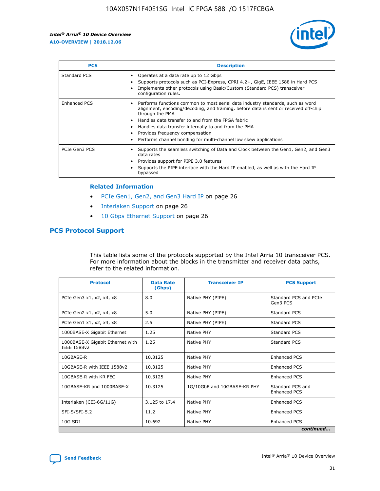

| <b>PCS</b>    | <b>Description</b>                                                                                                                                                                                                                                                                                                                                                                                             |
|---------------|----------------------------------------------------------------------------------------------------------------------------------------------------------------------------------------------------------------------------------------------------------------------------------------------------------------------------------------------------------------------------------------------------------------|
| Standard PCS  | Operates at a data rate up to 12 Gbps<br>Supports protocols such as PCI-Express, CPRI 4.2+, GigE, IEEE 1588 in Hard PCS<br>Implements other protocols using Basic/Custom (Standard PCS) transceiver<br>configuration rules.                                                                                                                                                                                    |
| Enhanced PCS  | Performs functions common to most serial data industry standards, such as word<br>alignment, encoding/decoding, and framing, before data is sent or received off-chip<br>through the PMA<br>• Handles data transfer to and from the FPGA fabric<br>Handles data transfer internally to and from the PMA<br>Provides frequency compensation<br>Performs channel bonding for multi-channel low skew applications |
| PCIe Gen3 PCS | Supports the seamless switching of Data and Clock between the Gen1, Gen2, and Gen3<br>data rates<br>Provides support for PIPE 3.0 features<br>Supports the PIPE interface with the Hard IP enabled, as well as with the Hard IP<br>bypassed                                                                                                                                                                    |

#### **Related Information**

- PCIe Gen1, Gen2, and Gen3 Hard IP on page 26
- Interlaken Support on page 26
- 10 Gbps Ethernet Support on page 26

### **PCS Protocol Support**

This table lists some of the protocols supported by the Intel Arria 10 transceiver PCS. For more information about the blocks in the transmitter and receiver data paths, refer to the related information.

| <b>Protocol</b>                                 | <b>Data Rate</b><br>(Gbps) | <b>Transceiver IP</b>       | <b>PCS Support</b>                      |
|-------------------------------------------------|----------------------------|-----------------------------|-----------------------------------------|
| PCIe Gen3 x1, x2, x4, x8                        | 8.0                        | Native PHY (PIPE)           | Standard PCS and PCIe<br>Gen3 PCS       |
| PCIe Gen2 x1, x2, x4, x8                        | 5.0                        | Native PHY (PIPE)           | <b>Standard PCS</b>                     |
| PCIe Gen1 x1, x2, x4, x8                        | 2.5                        | Native PHY (PIPE)           | Standard PCS                            |
| 1000BASE-X Gigabit Ethernet                     | 1.25                       | Native PHY                  | <b>Standard PCS</b>                     |
| 1000BASE-X Gigabit Ethernet with<br>IEEE 1588v2 | 1.25                       | Native PHY                  | Standard PCS                            |
| 10GBASE-R                                       | 10.3125                    | Native PHY                  | <b>Enhanced PCS</b>                     |
| 10GBASE-R with IEEE 1588v2                      | 10.3125                    | Native PHY                  | <b>Enhanced PCS</b>                     |
| 10GBASE-R with KR FEC                           | 10.3125                    | Native PHY                  | <b>Enhanced PCS</b>                     |
| 10GBASE-KR and 1000BASE-X                       | 10.3125                    | 1G/10GbE and 10GBASE-KR PHY | Standard PCS and<br><b>Enhanced PCS</b> |
| Interlaken (CEI-6G/11G)                         | 3.125 to 17.4              | Native PHY                  | <b>Enhanced PCS</b>                     |
| SFI-S/SFI-5.2                                   | 11.2                       | Native PHY                  | <b>Enhanced PCS</b>                     |
| $10G$ SDI                                       | 10.692                     | Native PHY                  | <b>Enhanced PCS</b>                     |
|                                                 |                            |                             | continued                               |

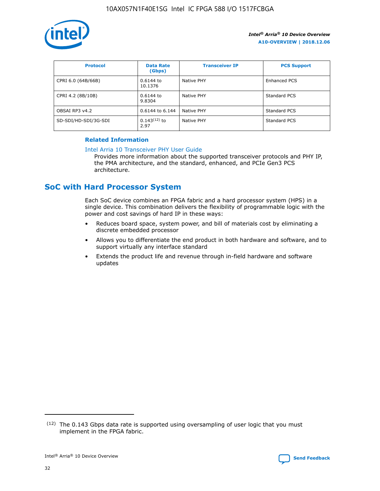

| <b>Protocol</b>      | <b>Data Rate</b><br>(Gbps) | <b>Transceiver IP</b> | <b>PCS Support</b> |
|----------------------|----------------------------|-----------------------|--------------------|
| CPRI 6.0 (64B/66B)   | 0.6144 to<br>10.1376       | Native PHY            | Enhanced PCS       |
| CPRI 4.2 (8B/10B)    | 0.6144 to<br>9.8304        | Native PHY            | Standard PCS       |
| OBSAI RP3 v4.2       | 0.6144 to 6.144            | Native PHY            | Standard PCS       |
| SD-SDI/HD-SDI/3G-SDI | $0.143(12)$ to<br>2.97     | Native PHY            | Standard PCS       |

### **Related Information**

#### [Intel Arria 10 Transceiver PHY User Guide](https://www.intel.com/content/www/us/en/programmable/documentation/nik1398707230472.html#nik1398707091164)

Provides more information about the supported transceiver protocols and PHY IP, the PMA architecture, and the standard, enhanced, and PCIe Gen3 PCS architecture.

### **SoC with Hard Processor System**

Each SoC device combines an FPGA fabric and a hard processor system (HPS) in a single device. This combination delivers the flexibility of programmable logic with the power and cost savings of hard IP in these ways:

- Reduces board space, system power, and bill of materials cost by eliminating a discrete embedded processor
- Allows you to differentiate the end product in both hardware and software, and to support virtually any interface standard
- Extends the product life and revenue through in-field hardware and software updates

 $(12)$  The 0.143 Gbps data rate is supported using oversampling of user logic that you must implement in the FPGA fabric.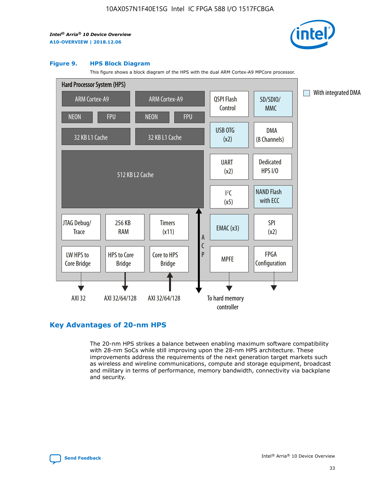

#### **Figure 9. HPS Block Diagram**

This figure shows a block diagram of the HPS with the dual ARM Cortex-A9 MPCore processor.



### **Key Advantages of 20-nm HPS**

The 20-nm HPS strikes a balance between enabling maximum software compatibility with 28-nm SoCs while still improving upon the 28-nm HPS architecture. These improvements address the requirements of the next generation target markets such as wireless and wireline communications, compute and storage equipment, broadcast and military in terms of performance, memory bandwidth, connectivity via backplane and security.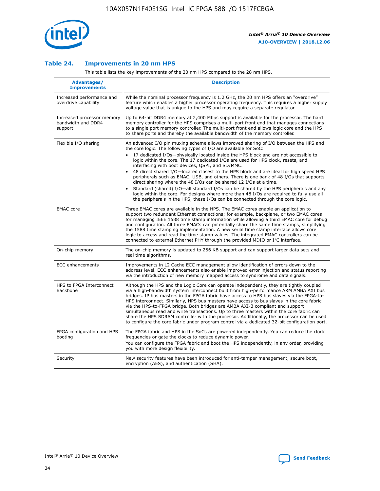

### **Table 24. Improvements in 20 nm HPS**

This table lists the key improvements of the 20 nm HPS compared to the 28 nm HPS.

| Advantages/<br><b>Improvements</b>                          | <b>Description</b>                                                                                                                                                                                                                                                                                                                                                                                                                                                                                                                                                                                                                                                                                                                                                                                                                   |
|-------------------------------------------------------------|--------------------------------------------------------------------------------------------------------------------------------------------------------------------------------------------------------------------------------------------------------------------------------------------------------------------------------------------------------------------------------------------------------------------------------------------------------------------------------------------------------------------------------------------------------------------------------------------------------------------------------------------------------------------------------------------------------------------------------------------------------------------------------------------------------------------------------------|
| Increased performance and<br>overdrive capability           | While the nominal processor frequency is 1.2 GHz, the 20 nm HPS offers an "overdrive"<br>feature which enables a higher processor operating frequency. This requires a higher supply<br>voltage value that is unique to the HPS and may require a separate regulator.                                                                                                                                                                                                                                                                                                                                                                                                                                                                                                                                                                |
| Increased processor memory<br>bandwidth and DDR4<br>support | Up to 64-bit DDR4 memory at 2,400 Mbps support is available for the processor. The hard<br>memory controller for the HPS comprises a multi-port front end that manages connections<br>to a single port memory controller. The multi-port front end allows logic core and the HPS<br>to share ports and thereby the available bandwidth of the memory controller.                                                                                                                                                                                                                                                                                                                                                                                                                                                                     |
| Flexible I/O sharing                                        | An advanced I/O pin muxing scheme allows improved sharing of I/O between the HPS and<br>the core logic. The following types of I/O are available for SoC:<br>17 dedicated I/Os-physically located inside the HPS block and are not accessible to<br>logic within the core. The 17 dedicated I/Os are used for HPS clock, resets, and<br>interfacing with boot devices, QSPI, and SD/MMC.<br>48 direct shared I/O-located closest to the HPS block and are ideal for high speed HPS<br>peripherals such as EMAC, USB, and others. There is one bank of 48 I/Os that supports<br>direct sharing where the 48 I/Os can be shared 12 I/Os at a time.<br>Standard (shared) I/O-all standard I/Os can be shared by the HPS peripherals and any<br>logic within the core. For designs where more than 48 I/Os are reguired to fully use all |
| <b>EMAC</b> core                                            | the peripherals in the HPS, these I/Os can be connected through the core logic.<br>Three EMAC cores are available in the HPS. The EMAC cores enable an application to<br>support two redundant Ethernet connections; for example, backplane, or two EMAC cores<br>for managing IEEE 1588 time stamp information while allowing a third EMAC core for debug<br>and configuration. All three EMACs can potentially share the same time stamps, simplifying<br>the 1588 time stamping implementation. A new serial time stamp interface allows core<br>logic to access and read the time stamp values. The integrated EMAC controllers can be<br>connected to external Ethernet PHY through the provided MDIO or I <sup>2</sup> C interface.                                                                                            |
| On-chip memory                                              | The on-chip memory is updated to 256 KB support and can support larger data sets and<br>real time algorithms.                                                                                                                                                                                                                                                                                                                                                                                                                                                                                                                                                                                                                                                                                                                        |
| <b>ECC</b> enhancements                                     | Improvements in L2 Cache ECC management allow identification of errors down to the<br>address level. ECC enhancements also enable improved error injection and status reporting<br>via the introduction of new memory mapped access to syndrome and data signals.                                                                                                                                                                                                                                                                                                                                                                                                                                                                                                                                                                    |
| HPS to FPGA Interconnect<br>Backbone                        | Although the HPS and the Logic Core can operate independently, they are tightly coupled<br>via a high-bandwidth system interconnect built from high-performance ARM AMBA AXI bus<br>bridges. IP bus masters in the FPGA fabric have access to HPS bus slaves via the FPGA-to-<br>HPS interconnect. Similarly, HPS bus masters have access to bus slaves in the core fabric<br>via the HPS-to-FPGA bridge. Both bridges are AMBA AXI-3 compliant and support<br>simultaneous read and write transactions. Up to three masters within the core fabric can<br>share the HPS SDRAM controller with the processor. Additionally, the processor can be used<br>to configure the core fabric under program control via a dedicated 32-bit configuration port.                                                                               |
| FPGA configuration and HPS<br>booting                       | The FPGA fabric and HPS in the SoCs are powered independently. You can reduce the clock<br>frequencies or gate the clocks to reduce dynamic power.<br>You can configure the FPGA fabric and boot the HPS independently, in any order, providing<br>you with more design flexibility.                                                                                                                                                                                                                                                                                                                                                                                                                                                                                                                                                 |
| Security                                                    | New security features have been introduced for anti-tamper management, secure boot,<br>encryption (AES), and authentication (SHA).                                                                                                                                                                                                                                                                                                                                                                                                                                                                                                                                                                                                                                                                                                   |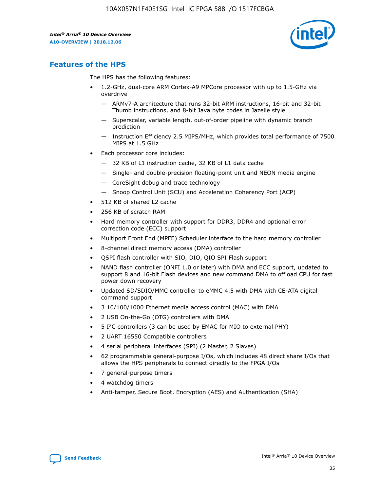

### **Features of the HPS**

The HPS has the following features:

- 1.2-GHz, dual-core ARM Cortex-A9 MPCore processor with up to 1.5-GHz via overdrive
	- ARMv7-A architecture that runs 32-bit ARM instructions, 16-bit and 32-bit Thumb instructions, and 8-bit Java byte codes in Jazelle style
	- Superscalar, variable length, out-of-order pipeline with dynamic branch prediction
	- Instruction Efficiency 2.5 MIPS/MHz, which provides total performance of 7500 MIPS at 1.5 GHz
- Each processor core includes:
	- 32 KB of L1 instruction cache, 32 KB of L1 data cache
	- Single- and double-precision floating-point unit and NEON media engine
	- CoreSight debug and trace technology
	- Snoop Control Unit (SCU) and Acceleration Coherency Port (ACP)
- 512 KB of shared L2 cache
- 256 KB of scratch RAM
- Hard memory controller with support for DDR3, DDR4 and optional error correction code (ECC) support
- Multiport Front End (MPFE) Scheduler interface to the hard memory controller
- 8-channel direct memory access (DMA) controller
- QSPI flash controller with SIO, DIO, QIO SPI Flash support
- NAND flash controller (ONFI 1.0 or later) with DMA and ECC support, updated to support 8 and 16-bit Flash devices and new command DMA to offload CPU for fast power down recovery
- Updated SD/SDIO/MMC controller to eMMC 4.5 with DMA with CE-ATA digital command support
- 3 10/100/1000 Ethernet media access control (MAC) with DMA
- 2 USB On-the-Go (OTG) controllers with DMA
- $\bullet$  5 I<sup>2</sup>C controllers (3 can be used by EMAC for MIO to external PHY)
- 2 UART 16550 Compatible controllers
- 4 serial peripheral interfaces (SPI) (2 Master, 2 Slaves)
- 62 programmable general-purpose I/Os, which includes 48 direct share I/Os that allows the HPS peripherals to connect directly to the FPGA I/Os
- 7 general-purpose timers
- 4 watchdog timers
- Anti-tamper, Secure Boot, Encryption (AES) and Authentication (SHA)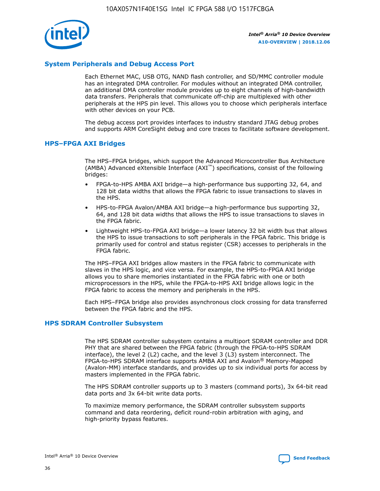

### **System Peripherals and Debug Access Port**

Each Ethernet MAC, USB OTG, NAND flash controller, and SD/MMC controller module has an integrated DMA controller. For modules without an integrated DMA controller, an additional DMA controller module provides up to eight channels of high-bandwidth data transfers. Peripherals that communicate off-chip are multiplexed with other peripherals at the HPS pin level. This allows you to choose which peripherals interface with other devices on your PCB.

The debug access port provides interfaces to industry standard JTAG debug probes and supports ARM CoreSight debug and core traces to facilitate software development.

### **HPS–FPGA AXI Bridges**

The HPS–FPGA bridges, which support the Advanced Microcontroller Bus Architecture (AMBA) Advanced eXtensible Interface (AXI™) specifications, consist of the following bridges:

- FPGA-to-HPS AMBA AXI bridge—a high-performance bus supporting 32, 64, and 128 bit data widths that allows the FPGA fabric to issue transactions to slaves in the HPS.
- HPS-to-FPGA Avalon/AMBA AXI bridge—a high-performance bus supporting 32, 64, and 128 bit data widths that allows the HPS to issue transactions to slaves in the FPGA fabric.
- Lightweight HPS-to-FPGA AXI bridge—a lower latency 32 bit width bus that allows the HPS to issue transactions to soft peripherals in the FPGA fabric. This bridge is primarily used for control and status register (CSR) accesses to peripherals in the FPGA fabric.

The HPS–FPGA AXI bridges allow masters in the FPGA fabric to communicate with slaves in the HPS logic, and vice versa. For example, the HPS-to-FPGA AXI bridge allows you to share memories instantiated in the FPGA fabric with one or both microprocessors in the HPS, while the FPGA-to-HPS AXI bridge allows logic in the FPGA fabric to access the memory and peripherals in the HPS.

Each HPS–FPGA bridge also provides asynchronous clock crossing for data transferred between the FPGA fabric and the HPS.

### **HPS SDRAM Controller Subsystem**

The HPS SDRAM controller subsystem contains a multiport SDRAM controller and DDR PHY that are shared between the FPGA fabric (through the FPGA-to-HPS SDRAM interface), the level 2 (L2) cache, and the level 3 (L3) system interconnect. The FPGA-to-HPS SDRAM interface supports AMBA AXI and Avalon® Memory-Mapped (Avalon-MM) interface standards, and provides up to six individual ports for access by masters implemented in the FPGA fabric.

The HPS SDRAM controller supports up to 3 masters (command ports), 3x 64-bit read data ports and 3x 64-bit write data ports.

To maximize memory performance, the SDRAM controller subsystem supports command and data reordering, deficit round-robin arbitration with aging, and high-priority bypass features.

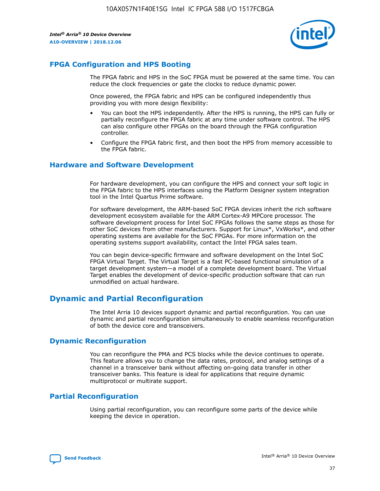

### **FPGA Configuration and HPS Booting**

The FPGA fabric and HPS in the SoC FPGA must be powered at the same time. You can reduce the clock frequencies or gate the clocks to reduce dynamic power.

Once powered, the FPGA fabric and HPS can be configured independently thus providing you with more design flexibility:

- You can boot the HPS independently. After the HPS is running, the HPS can fully or partially reconfigure the FPGA fabric at any time under software control. The HPS can also configure other FPGAs on the board through the FPGA configuration controller.
- Configure the FPGA fabric first, and then boot the HPS from memory accessible to the FPGA fabric.

### **Hardware and Software Development**

For hardware development, you can configure the HPS and connect your soft logic in the FPGA fabric to the HPS interfaces using the Platform Designer system integration tool in the Intel Quartus Prime software.

For software development, the ARM-based SoC FPGA devices inherit the rich software development ecosystem available for the ARM Cortex-A9 MPCore processor. The software development process for Intel SoC FPGAs follows the same steps as those for other SoC devices from other manufacturers. Support for Linux\*, VxWorks\*, and other operating systems are available for the SoC FPGAs. For more information on the operating systems support availability, contact the Intel FPGA sales team.

You can begin device-specific firmware and software development on the Intel SoC FPGA Virtual Target. The Virtual Target is a fast PC-based functional simulation of a target development system—a model of a complete development board. The Virtual Target enables the development of device-specific production software that can run unmodified on actual hardware.

### **Dynamic and Partial Reconfiguration**

The Intel Arria 10 devices support dynamic and partial reconfiguration. You can use dynamic and partial reconfiguration simultaneously to enable seamless reconfiguration of both the device core and transceivers.

### **Dynamic Reconfiguration**

You can reconfigure the PMA and PCS blocks while the device continues to operate. This feature allows you to change the data rates, protocol, and analog settings of a channel in a transceiver bank without affecting on-going data transfer in other transceiver banks. This feature is ideal for applications that require dynamic multiprotocol or multirate support.

### **Partial Reconfiguration**

Using partial reconfiguration, you can reconfigure some parts of the device while keeping the device in operation.

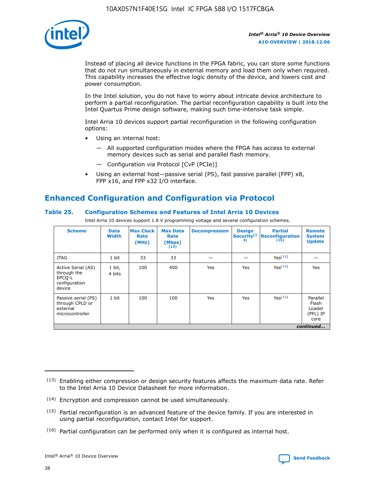

Instead of placing all device functions in the FPGA fabric, you can store some functions that do not run simultaneously in external memory and load them only when required. This capability increases the effective logic density of the device, and lowers cost and power consumption.

In the Intel solution, you do not have to worry about intricate device architecture to perform a partial reconfiguration. The partial reconfiguration capability is built into the Intel Quartus Prime design software, making such time-intensive task simple.

Intel Arria 10 devices support partial reconfiguration in the following configuration options:

- Using an internal host:
	- All supported configuration modes where the FPGA has access to external memory devices such as serial and parallel flash memory.
	- Configuration via Protocol [CvP (PCIe)]
- Using an external host—passive serial (PS), fast passive parallel (FPP) x8, FPP x16, and FPP x32 I/O interface.

### **Enhanced Configuration and Configuration via Protocol**

### **Table 25. Configuration Schemes and Features of Intel Arria 10 Devices**

Intel Arria 10 devices support 1.8 V programming voltage and several configuration schemes.

| <b>Scheme</b>                                                          | <b>Data</b><br><b>Width</b> | <b>Max Clock</b><br>Rate<br>(MHz) | <b>Max Data</b><br>Rate<br>(Mbps)<br>(13) | <b>Decompression</b> | <b>Design</b><br>Security <sup>(1</sup><br>4) | <b>Partial</b><br>Reconfiguration<br>(15) | <b>Remote</b><br><b>System</b><br><b>Update</b> |
|------------------------------------------------------------------------|-----------------------------|-----------------------------------|-------------------------------------------|----------------------|-----------------------------------------------|-------------------------------------------|-------------------------------------------------|
| <b>JTAG</b>                                                            | 1 bit                       | 33                                | 33                                        |                      |                                               | Yes <sup>(16)</sup>                       |                                                 |
| Active Serial (AS)<br>through the<br>EPCO-L<br>configuration<br>device | 1 bit,<br>4 bits            | 100                               | 400                                       | Yes                  | Yes                                           | $Y_{PS}(16)$                              | Yes                                             |
| Passive serial (PS)<br>through CPLD or<br>external<br>microcontroller  | 1 bit                       | 100                               | 100                                       | Yes                  | Yes                                           | Yes(16)                                   | Parallel<br>Flash<br>Loader<br>(PFL) IP<br>core |
|                                                                        |                             |                                   |                                           |                      |                                               |                                           | continued                                       |

<sup>(13)</sup> Enabling either compression or design security features affects the maximum data rate. Refer to the Intel Arria 10 Device Datasheet for more information.

<sup>(14)</sup> Encryption and compression cannot be used simultaneously.

 $(15)$  Partial reconfiguration is an advanced feature of the device family. If you are interested in using partial reconfiguration, contact Intel for support.

 $(16)$  Partial configuration can be performed only when it is configured as internal host.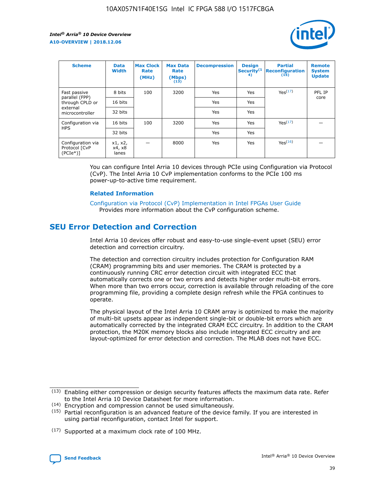

| <b>Scheme</b>                                    | <b>Data</b><br><b>Width</b> | <b>Max Clock</b><br>Rate<br>(MHz) | <b>Max Data</b><br>Rate<br>(Mbps)<br>(13) | <b>Decompression</b> | <b>Design</b><br>Security <sup>(1</sup><br>4) | <b>Partial</b><br><b>Reconfiguration</b><br>(15) | <b>Remote</b><br><b>System</b><br><b>Update</b> |
|--------------------------------------------------|-----------------------------|-----------------------------------|-------------------------------------------|----------------------|-----------------------------------------------|--------------------------------------------------|-------------------------------------------------|
| Fast passive                                     | 8 bits                      | 100                               | 3200                                      | Yes                  | Yes                                           | Yes(17)                                          | PFL IP                                          |
| parallel (FPP)<br>through CPLD or                | 16 bits                     |                                   |                                           | Yes                  | Yes                                           |                                                  | core                                            |
| external<br>microcontroller                      | 32 bits                     |                                   |                                           | Yes                  | Yes                                           |                                                  |                                                 |
| Configuration via                                | 16 bits                     | 100                               | 3200                                      | Yes                  | Yes                                           | Yes <sup>(17)</sup>                              |                                                 |
| <b>HPS</b>                                       | 32 bits                     |                                   |                                           | Yes                  | Yes                                           |                                                  |                                                 |
| Configuration via<br>Protocol [CvP<br>$(PCIe^*)$ | x1, x2,<br>x4, x8<br>lanes  |                                   | 8000                                      | Yes                  | Yes                                           | Yes(16)                                          |                                                 |

You can configure Intel Arria 10 devices through PCIe using Configuration via Protocol (CvP). The Intel Arria 10 CvP implementation conforms to the PCIe 100 ms power-up-to-active time requirement.

### **Related Information**

[Configuration via Protocol \(CvP\) Implementation in Intel FPGAs User Guide](https://www.intel.com/content/www/us/en/programmable/documentation/dsu1441819344145.html#dsu1442269728522) Provides more information about the CvP configuration scheme.

### **SEU Error Detection and Correction**

Intel Arria 10 devices offer robust and easy-to-use single-event upset (SEU) error detection and correction circuitry.

The detection and correction circuitry includes protection for Configuration RAM (CRAM) programming bits and user memories. The CRAM is protected by a continuously running CRC error detection circuit with integrated ECC that automatically corrects one or two errors and detects higher order multi-bit errors. When more than two errors occur, correction is available through reloading of the core programming file, providing a complete design refresh while the FPGA continues to operate.

The physical layout of the Intel Arria 10 CRAM array is optimized to make the majority of multi-bit upsets appear as independent single-bit or double-bit errors which are automatically corrected by the integrated CRAM ECC circuitry. In addition to the CRAM protection, the M20K memory blocks also include integrated ECC circuitry and are layout-optimized for error detection and correction. The MLAB does not have ECC.

(14) Encryption and compression cannot be used simultaneously.

<sup>(17)</sup> Supported at a maximum clock rate of 100 MHz.



 $(13)$  Enabling either compression or design security features affects the maximum data rate. Refer to the Intel Arria 10 Device Datasheet for more information.

 $(15)$  Partial reconfiguration is an advanced feature of the device family. If you are interested in using partial reconfiguration, contact Intel for support.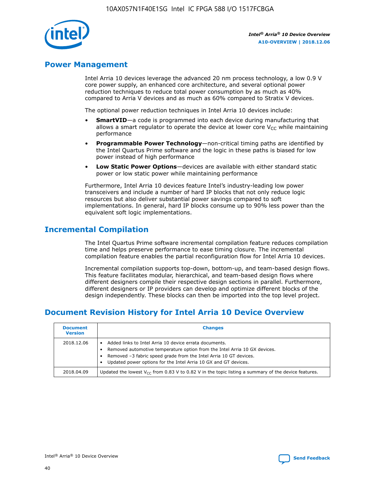

### **Power Management**

Intel Arria 10 devices leverage the advanced 20 nm process technology, a low 0.9 V core power supply, an enhanced core architecture, and several optional power reduction techniques to reduce total power consumption by as much as 40% compared to Arria V devices and as much as 60% compared to Stratix V devices.

The optional power reduction techniques in Intel Arria 10 devices include:

- **SmartVID**—a code is programmed into each device during manufacturing that allows a smart regulator to operate the device at lower core  $V_{CC}$  while maintaining performance
- **Programmable Power Technology**—non-critical timing paths are identified by the Intel Quartus Prime software and the logic in these paths is biased for low power instead of high performance
- **Low Static Power Options**—devices are available with either standard static power or low static power while maintaining performance

Furthermore, Intel Arria 10 devices feature Intel's industry-leading low power transceivers and include a number of hard IP blocks that not only reduce logic resources but also deliver substantial power savings compared to soft implementations. In general, hard IP blocks consume up to 90% less power than the equivalent soft logic implementations.

### **Incremental Compilation**

The Intel Quartus Prime software incremental compilation feature reduces compilation time and helps preserve performance to ease timing closure. The incremental compilation feature enables the partial reconfiguration flow for Intel Arria 10 devices.

Incremental compilation supports top-down, bottom-up, and team-based design flows. This feature facilitates modular, hierarchical, and team-based design flows where different designers compile their respective design sections in parallel. Furthermore, different designers or IP providers can develop and optimize different blocks of the design independently. These blocks can then be imported into the top level project.

### **Document Revision History for Intel Arria 10 Device Overview**

| <b>Document</b><br><b>Version</b> | <b>Changes</b>                                                                                                                                                                                                                                                              |
|-----------------------------------|-----------------------------------------------------------------------------------------------------------------------------------------------------------------------------------------------------------------------------------------------------------------------------|
| 2018.12.06                        | Added links to Intel Arria 10 device errata documents.<br>Removed automotive temperature option from the Intel Arria 10 GX devices.<br>Removed -3 fabric speed grade from the Intel Arria 10 GT devices.<br>Updated power options for the Intel Arria 10 GX and GT devices. |
| 2018.04.09                        | Updated the lowest $V_{CC}$ from 0.83 V to 0.82 V in the topic listing a summary of the device features.                                                                                                                                                                    |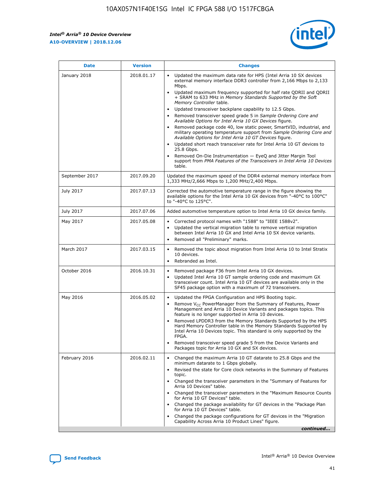*Intel® Arria® 10 Device Overview* **A10-OVERVIEW | 2018.12.06**



| <b>Date</b>    | <b>Version</b> | <b>Changes</b>                                                                                                                                                                                                                                                                                                                                                                                                                                                                                                                                                                                                                                                                                                                                                                                                                                                                                                                                                            |
|----------------|----------------|---------------------------------------------------------------------------------------------------------------------------------------------------------------------------------------------------------------------------------------------------------------------------------------------------------------------------------------------------------------------------------------------------------------------------------------------------------------------------------------------------------------------------------------------------------------------------------------------------------------------------------------------------------------------------------------------------------------------------------------------------------------------------------------------------------------------------------------------------------------------------------------------------------------------------------------------------------------------------|
| January 2018   | 2018.01.17     | Updated the maximum data rate for HPS (Intel Arria 10 SX devices<br>external memory interface DDR3 controller from 2,166 Mbps to 2,133<br>Mbps.<br>Updated maximum frequency supported for half rate QDRII and QDRII<br>+ SRAM to 633 MHz in Memory Standards Supported by the Soft<br>Memory Controller table.<br>Updated transceiver backplane capability to 12.5 Gbps.<br>$\bullet$<br>Removed transceiver speed grade 5 in Sample Ordering Core and<br>Available Options for Intel Arria 10 GX Devices figure.<br>Removed package code 40, low static power, SmartVID, industrial, and<br>military operating temperature support from Sample Ordering Core and<br>Available Options for Intel Arria 10 GT Devices figure.<br>Updated short reach transceiver rate for Intel Arria 10 GT devices to<br>25.8 Gbps.<br>Removed On-Die Instrumentation - EyeQ and Jitter Margin Tool<br>support from PMA Features of the Transceivers in Intel Arria 10 Devices<br>table. |
| September 2017 | 2017.09.20     | Updated the maximum speed of the DDR4 external memory interface from<br>1,333 MHz/2,666 Mbps to 1,200 MHz/2,400 Mbps.                                                                                                                                                                                                                                                                                                                                                                                                                                                                                                                                                                                                                                                                                                                                                                                                                                                     |
| July 2017      | 2017.07.13     | Corrected the automotive temperature range in the figure showing the<br>available options for the Intel Arria 10 GX devices from "-40°C to 100°C"<br>to "-40°C to 125°C".                                                                                                                                                                                                                                                                                                                                                                                                                                                                                                                                                                                                                                                                                                                                                                                                 |
| July 2017      | 2017.07.06     | Added automotive temperature option to Intel Arria 10 GX device family.                                                                                                                                                                                                                                                                                                                                                                                                                                                                                                                                                                                                                                                                                                                                                                                                                                                                                                   |
| May 2017       | 2017.05.08     | Corrected protocol names with "1588" to "IEEE 1588v2".<br>$\bullet$<br>Updated the vertical migration table to remove vertical migration<br>$\bullet$<br>between Intel Arria 10 GX and Intel Arria 10 SX device variants.<br>Removed all "Preliminary" marks.<br>$\bullet$                                                                                                                                                                                                                                                                                                                                                                                                                                                                                                                                                                                                                                                                                                |
| March 2017     | 2017.03.15     | Removed the topic about migration from Intel Arria 10 to Intel Stratix<br>10 devices.<br>Rebranded as Intel.<br>$\bullet$                                                                                                                                                                                                                                                                                                                                                                                                                                                                                                                                                                                                                                                                                                                                                                                                                                                 |
| October 2016   | 2016.10.31     | Removed package F36 from Intel Arria 10 GX devices.<br>Updated Intel Arria 10 GT sample ordering code and maximum GX<br>$\bullet$<br>transceiver count. Intel Arria 10 GT devices are available only in the<br>SF45 package option with a maximum of 72 transceivers.                                                                                                                                                                                                                                                                                                                                                                                                                                                                                                                                                                                                                                                                                                     |
| May 2016       | 2016.05.02     | Updated the FPGA Configuration and HPS Booting topic.<br>$\bullet$<br>Remove V <sub>CC</sub> PowerManager from the Summary of Features, Power<br>Management and Arria 10 Device Variants and packages topics. This<br>feature is no longer supported in Arria 10 devices.<br>Removed LPDDR3 from the Memory Standards Supported by the HPS<br>Hard Memory Controller table in the Memory Standards Supported by<br>Intel Arria 10 Devices topic. This standard is only supported by the<br>FPGA.<br>Removed transceiver speed grade 5 from the Device Variants and<br>Packages topic for Arria 10 GX and SX devices.                                                                                                                                                                                                                                                                                                                                                      |
| February 2016  | 2016.02.11     | Changed the maximum Arria 10 GT datarate to 25.8 Gbps and the<br>minimum datarate to 1 Gbps globally.<br>Revised the state for Core clock networks in the Summary of Features<br>$\bullet$<br>topic.<br>Changed the transceiver parameters in the "Summary of Features for<br>$\bullet$<br>Arria 10 Devices" table.<br>• Changed the transceiver parameters in the "Maximum Resource Counts<br>for Arria 10 GT Devices" table.<br>Changed the package availability for GT devices in the "Package Plan<br>for Arria 10 GT Devices" table.<br>Changed the package configurations for GT devices in the "Migration"<br>Capability Across Arria 10 Product Lines" figure.<br>continued                                                                                                                                                                                                                                                                                       |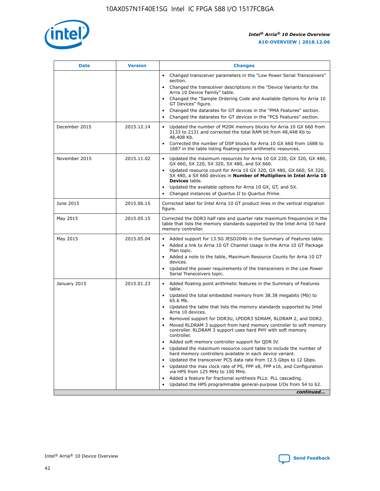

| <b>Date</b>   | <b>Version</b> | <b>Changes</b>                                                                                                                                                               |
|---------------|----------------|------------------------------------------------------------------------------------------------------------------------------------------------------------------------------|
|               |                | • Changed transceiver parameters in the "Low Power Serial Transceivers"<br>section.                                                                                          |
|               |                | • Changed the transceiver descriptions in the "Device Variants for the<br>Arria 10 Device Family" table.                                                                     |
|               |                | Changed the "Sample Ordering Code and Available Options for Arria 10<br>$\bullet$<br>GT Devices" figure.                                                                     |
|               |                | Changed the datarates for GT devices in the "PMA Features" section.                                                                                                          |
|               |                | Changed the datarates for GT devices in the "PCS Features" section.<br>$\bullet$                                                                                             |
| December 2015 | 2015.12.14     | Updated the number of M20K memory blocks for Arria 10 GX 660 from<br>2133 to 2131 and corrected the total RAM bit from 48,448 Kb to<br>48,408 Kb.                            |
|               |                | Corrected the number of DSP blocks for Arria 10 GX 660 from 1688 to<br>1687 in the table listing floating-point arithmetic resources.                                        |
| November 2015 | 2015.11.02     | Updated the maximum resources for Arria 10 GX 220, GX 320, GX 480,<br>$\bullet$<br>GX 660, SX 220, SX 320, SX 480, and SX 660.                                               |
|               |                | • Updated resource count for Arria 10 GX 320, GX 480, GX 660, SX 320,<br>SX 480, a SX 660 devices in Number of Multipliers in Intel Arria 10<br><b>Devices</b> table.        |
|               |                | Updated the available options for Arria 10 GX, GT, and SX.                                                                                                                   |
|               |                | Changed instances of Quartus II to Quartus Prime.<br>$\bullet$                                                                                                               |
| June 2015     | 2015.06.15     | Corrected label for Intel Arria 10 GT product lines in the vertical migration<br>figure.                                                                                     |
| May 2015      | 2015.05.15     | Corrected the DDR3 half rate and quarter rate maximum frequencies in the<br>table that lists the memory standards supported by the Intel Arria 10 hard<br>memory controller. |
| May 2015      | 2015.05.04     | • Added support for 13.5G JESD204b in the Summary of Features table.                                                                                                         |
|               |                | • Added a link to Arria 10 GT Channel Usage in the Arria 10 GT Package<br>Plan topic.                                                                                        |
|               |                | • Added a note to the table, Maximum Resource Counts for Arria 10 GT<br>devices.                                                                                             |
|               |                | • Updated the power requirements of the transceivers in the Low Power<br>Serial Transceivers topic.                                                                          |
| January 2015  | 2015.01.23     | • Added floating point arithmetic features in the Summary of Features<br>table.                                                                                              |
|               |                | • Updated the total embedded memory from 38.38 megabits (Mb) to<br>65.6 Mb.                                                                                                  |
|               |                | • Updated the table that lists the memory standards supported by Intel<br>Arria 10 devices.                                                                                  |
|               |                | Removed support for DDR3U, LPDDR3 SDRAM, RLDRAM 2, and DDR2.                                                                                                                 |
|               |                | Moved RLDRAM 3 support from hard memory controller to soft memory<br>controller. RLDRAM 3 support uses hard PHY with soft memory<br>controller.                              |
|               |                | Added soft memory controller support for QDR IV.<br>٠                                                                                                                        |
|               |                | Updated the maximum resource count table to include the number of<br>hard memory controllers available in each device variant.                                               |
|               |                | Updated the transceiver PCS data rate from 12.5 Gbps to 12 Gbps.<br>$\bullet$                                                                                                |
|               |                | Updated the max clock rate of PS, FPP x8, FPP x16, and Configuration<br>via HPS from 125 MHz to 100 MHz.                                                                     |
|               |                | Added a feature for fractional synthesis PLLs: PLL cascading.                                                                                                                |
|               |                | Updated the HPS programmable general-purpose I/Os from 54 to 62.<br>$\bullet$                                                                                                |
|               |                | continued                                                                                                                                                                    |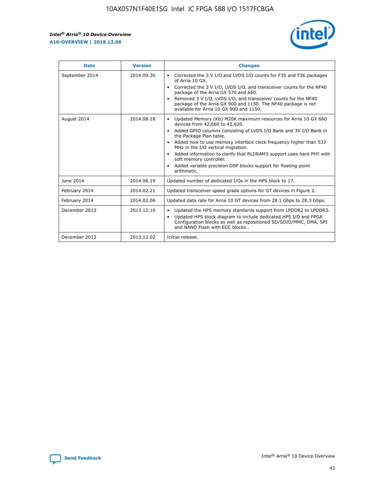r



| <b>Date</b>    | <b>Version</b> | <b>Changes</b>                                                                                                                                                                                                                                                                                                                                                                                                                                                                                                                                      |
|----------------|----------------|-----------------------------------------------------------------------------------------------------------------------------------------------------------------------------------------------------------------------------------------------------------------------------------------------------------------------------------------------------------------------------------------------------------------------------------------------------------------------------------------------------------------------------------------------------|
| September 2014 | 2014.09.30     | Corrected the 3 V I/O and LVDS I/O counts for F35 and F36 packages<br>$\bullet$<br>of Arria 10 GX.<br>Corrected the 3 V I/O, LVDS I/O, and transceiver counts for the NF40<br>$\bullet$<br>package of the Arria GX 570 and 660.<br>Removed 3 V I/O, LVDS I/O, and transceiver counts for the NF40<br>package of the Arria GX 900 and 1150. The NF40 package is not<br>available for Arria 10 GX 900 and 1150.                                                                                                                                       |
| August 2014    | 2014.08.18     | Updated Memory (Kb) M20K maximum resources for Arria 10 GX 660<br>devices from 42,660 to 42,620.<br>Added GPIO columns consisting of LVDS I/O Bank and 3V I/O Bank in<br>$\bullet$<br>the Package Plan table.<br>Added how to use memory interface clock frequency higher than 533<br>$\bullet$<br>MHz in the I/O vertical migration.<br>Added information to clarify that RLDRAM3 support uses hard PHY with<br>$\bullet$<br>soft memory controller.<br>Added variable precision DSP blocks support for floating-point<br>$\bullet$<br>arithmetic. |
| June 2014      | 2014.06.19     | Updated number of dedicated I/Os in the HPS block to 17.                                                                                                                                                                                                                                                                                                                                                                                                                                                                                            |
| February 2014  | 2014.02.21     | Updated transceiver speed grade options for GT devices in Figure 2.                                                                                                                                                                                                                                                                                                                                                                                                                                                                                 |
| February 2014  | 2014.02.06     | Updated data rate for Arria 10 GT devices from 28.1 Gbps to 28.3 Gbps.                                                                                                                                                                                                                                                                                                                                                                                                                                                                              |
| December 2013  | 2013.12.10     | Updated the HPS memory standards support from LPDDR2 to LPDDR3.<br>Updated HPS block diagram to include dedicated HPS I/O and FPGA<br>$\bullet$<br>Configuration blocks as well as repositioned SD/SDIO/MMC, DMA, SPI<br>and NAND Flash with ECC blocks.                                                                                                                                                                                                                                                                                            |
| December 2013  | 2013.12.02     | Initial release.                                                                                                                                                                                                                                                                                                                                                                                                                                                                                                                                    |